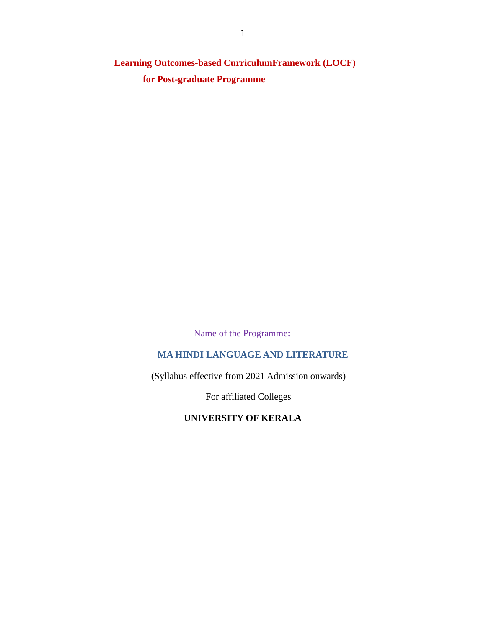**Learning Outcomes-based CurriculumFramework (LOCF) for Post-graduate Programme**

Name of the Programme:

# **MA HINDI LANGUAGE AND LITERATURE**

(Syllabus effective from 2021 Admission onwards)

For affiliated Colleges

**UNIVERSITY OF KERALA**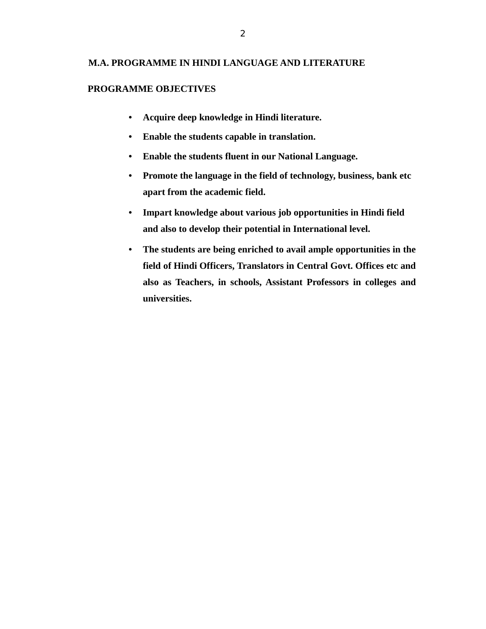## **M.A. PROGRAMME IN HINDI LANGUAGE AND LITERATURE**

### **PROGRAMME OBJECTIVES**

- **Acquire deep knowledge in Hindi literature.**
- **Enable the students capable in translation.**
- **Enable the students fluent in our National Language.**
- **Promote the language in the field of technology, business, bank etc apart from the academic field.**
- **Impart knowledge about various job opportunities in Hindi field and also to develop their potential in International level.**
- **The students are being enriched to avail ample opportunities in the field of Hindi Officers, Translators in Central Govt. Offices etc and also as Teachers, in schools, Assistant Professors in colleges and universities.**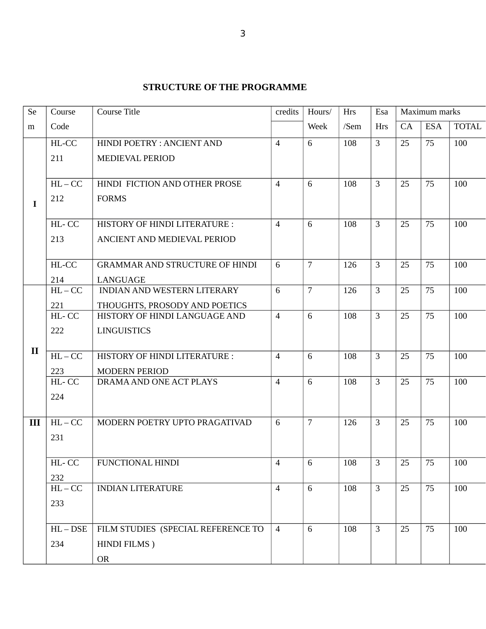# **STRUCTURE OF THE PROGRAMME**

| Se           | Course       | Course Title                                    | credits        | Hours/          | Hrs  | Esa            | Maximum marks |            |              |
|--------------|--------------|-------------------------------------------------|----------------|-----------------|------|----------------|---------------|------------|--------------|
| m            | Code         |                                                 |                | Week            | /Sem | <b>Hrs</b>     | CA            | <b>ESA</b> | <b>TOTAL</b> |
|              | HL-CC        | HINDI POETRY : ANCIENT AND                      | $\overline{4}$ | 6               | 108  | $\overline{3}$ | 25            | 75         | 100          |
|              | 211          | MEDIEVAL PERIOD                                 |                |                 |      |                |               |            |              |
|              |              |                                                 |                |                 |      |                |               |            |              |
|              | $HL-CC$      | HINDI FICTION AND OTHER PROSE                   | $\overline{4}$ | 6               | 108  | 3              | 25            | 75         | 100          |
| $\mathbf I$  | 212          | <b>FORMS</b>                                    |                |                 |      |                |               |            |              |
|              |              |                                                 |                |                 |      |                |               |            |              |
|              | HL-CC        | HISTORY OF HINDI LITERATURE :                   | $\overline{4}$ | 6               | 108  | $\overline{3}$ | 25            | 75         | 100          |
|              | 213          | ANCIENT AND MEDIEVAL PERIOD                     |                |                 |      |                |               |            |              |
|              |              |                                                 |                |                 |      |                |               |            |              |
|              | HL-CC        | <b>GRAMMAR AND STRUCTURE OF HINDI</b>           | 6              | 7               | 126  | 3              | 25            | 75         | 100          |
|              | 214          | LANGUAGE                                        |                |                 |      |                |               |            |              |
|              | $HL-CC$      | INDIAN AND WESTERN LITERARY                     | 6              | $\overline{7}$  | 126  | $\overline{3}$ | 25            | 75         | 100          |
|              | 221          | THOUGHTS, PROSODY AND POETICS                   |                |                 |      |                |               |            |              |
|              | HL-CC        | HISTORY OF HINDI LANGUAGE AND                   | $\overline{4}$ | 6               | 108  | $\overline{3}$ | 25            | 75         | 100          |
|              | 222          | <b>LINGUISTICS</b>                              |                |                 |      |                |               |            |              |
| $\mathbf{I}$ | $HL-CC$      | <b>HISTORY OF HINDI LITERATURE:</b>             | $\overline{4}$ | 6               | 108  | 3              | 25            | 75         | 100          |
|              |              |                                                 |                |                 |      |                |               |            |              |
|              | 223<br>HL-CC | <b>MODERN PERIOD</b><br>DRAMA AND ONE ACT PLAYS | $\overline{4}$ | 6               | 108  | $\overline{3}$ | 25            | 75         | 100          |
|              | 224          |                                                 |                |                 |      |                |               |            |              |
|              |              |                                                 |                |                 |      |                |               |            |              |
| III          | $HL-CC$      | MODERN POETRY UPTO PRAGATIVAD                   | 6              | $\overline{7}$  | 126  | $\overline{3}$ | 25            | 75         | 100          |
|              | 231          |                                                 |                |                 |      |                |               |            |              |
|              |              |                                                 |                |                 |      |                |               |            |              |
|              | HL-CC        | <b>FUNCTIONAL HINDI</b>                         | $\overline{4}$ | $6\overline{6}$ | 108  | $\mathbf{3}$   | 25            | 75         | 100          |
|              | 232          |                                                 |                |                 |      |                |               |            |              |
|              | $HL-CC$      | <b>INDIAN LITERATURE</b>                        | $\overline{4}$ | 6               | 108  | $\mathbf{3}$   | 25            | 75         | 100          |
|              | 233          |                                                 |                |                 |      |                |               |            |              |
|              |              |                                                 |                |                 |      |                |               |            |              |
|              | $HL - DSE$   | FILM STUDIES (SPECIAL REFERENCE TO              | $\overline{4}$ | 6               | 108  | $\overline{3}$ | 25            | 75         | 100          |
|              | 234          | HINDI FILMS)                                    |                |                 |      |                |               |            |              |
|              |              | <b>OR</b>                                       |                |                 |      |                |               |            |              |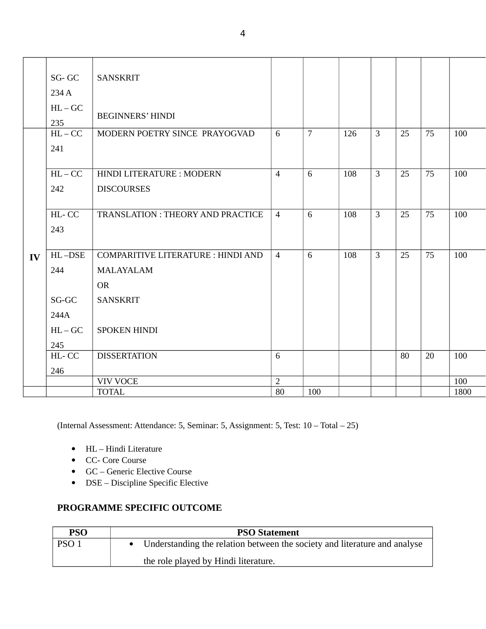|    | SG-GC<br>234 A<br>$HL-GC$<br>235 | <b>SANSKRIT</b><br><b>BEGINNERS' HINDI</b>                                 |                      |                |     |                |    |    |             |
|----|----------------------------------|----------------------------------------------------------------------------|----------------------|----------------|-----|----------------|----|----|-------------|
|    | $HL-CC$<br>241                   | MODERN POETRY SINCE PRAYOGVAD                                              | 6                    | $\overline{7}$ | 126 | $\overline{3}$ | 25 | 75 | 100         |
|    | $HL-CC$<br>242                   | HINDI LITERATURE : MODERN<br><b>DISCOURSES</b>                             | $\overline{4}$       | 6              | 108 | 3              | 25 | 75 | 100         |
|    | HL-CC<br>243                     | <b>TRANSLATION: THEORY AND PRACTICE</b>                                    | $\overline{4}$       | 6              | 108 | $\overline{3}$ | 25 | 75 | 100         |
| IV | HL-DSE<br>244                    | <b>COMPARITIVE LITERATURE : HINDI AND</b><br><b>MALAYALAM</b><br><b>OR</b> | $\overline{4}$       | 6              | 108 | $\overline{3}$ | 25 | 75 | 100         |
|    | SG-GC<br>244A                    | <b>SANSKRIT</b>                                                            |                      |                |     |                |    |    |             |
|    | $HL-GC$<br>245<br>HL-CC          | <b>SPOKEN HINDI</b><br><b>DISSERTATION</b>                                 | 6                    |                |     |                | 80 | 20 | 100         |
|    | 246                              |                                                                            |                      |                |     |                |    |    |             |
|    |                                  | <b>VIV VOCE</b><br><b>TOTAL</b>                                            | $\overline{2}$<br>80 | 100            |     |                |    |    | 100<br>1800 |
|    |                                  |                                                                            |                      |                |     |                |    |    |             |

(Internal Assessment: Attendance: 5, Seminar: 5, Assignment: 5, Test: 10 – Total – 25)

- HL Hindi Literature
- CC- Core Course
- GC Generic Elective Course
- DSE Discipline Specific Elective

# **PROGRAMME SPECIFIC OUTCOME**

| <b>PSO</b>       | <b>PSO Statement</b>                                                        |
|------------------|-----------------------------------------------------------------------------|
| PSO <sub>1</sub> | • Understanding the relation between the society and literature and analyse |
|                  | the role played by Hindi literature.                                        |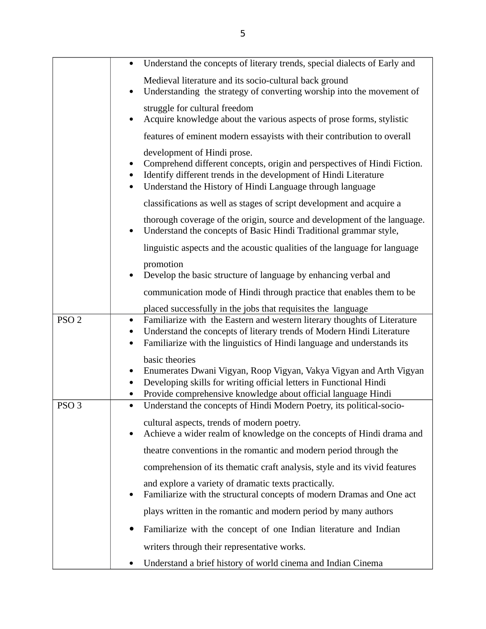|                  | Understand the concepts of literary trends, special dialects of Early and                                                                                                                                                                                  |
|------------------|------------------------------------------------------------------------------------------------------------------------------------------------------------------------------------------------------------------------------------------------------------|
|                  | Medieval literature and its socio-cultural back ground<br>Understanding the strategy of converting worship into the movement of<br>$\bullet$                                                                                                               |
|                  | struggle for cultural freedom<br>Acquire knowledge about the various aspects of prose forms, stylistic                                                                                                                                                     |
|                  | features of eminent modern essayists with their contribution to overall                                                                                                                                                                                    |
|                  | development of Hindi prose.<br>Comprehend different concepts, origin and perspectives of Hindi Fiction.<br>$\bullet$<br>Identify different trends in the development of Hindi Literature<br>Understand the History of Hindi Language through language      |
|                  | classifications as well as stages of script development and acquire a                                                                                                                                                                                      |
|                  | thorough coverage of the origin, source and development of the language.<br>Understand the concepts of Basic Hindi Traditional grammar style,<br>$\bullet$                                                                                                 |
|                  | linguistic aspects and the acoustic qualities of the language for language                                                                                                                                                                                 |
|                  | promotion<br>Develop the basic structure of language by enhancing verbal and<br>$\bullet$                                                                                                                                                                  |
|                  | communication mode of Hindi through practice that enables them to be                                                                                                                                                                                       |
|                  | placed successfully in the jobs that requisites the language                                                                                                                                                                                               |
| PSO <sub>2</sub> | Familiarize with the Eastern and western literary thoughts of Literature<br>$\bullet$<br>Understand the concepts of literary trends of Modern Hindi Literature<br>Familiarize with the linguistics of Hindi language and understands its<br>$\bullet$      |
|                  | basic theories<br>Enumerates Dwani Vigyan, Roop Vigyan, Vakya Vigyan and Arth Vigyan<br>$\bullet$<br>Developing skills for writing official letters in Functional Hindi<br>$\bullet$<br>Provide comprehensive knowledge about official language Hindi<br>٠ |
| PSO <sub>3</sub> | Understand the concepts of Hindi Modern Poetry, its political-socio-<br>$\bullet$                                                                                                                                                                          |
|                  | cultural aspects, trends of modern poetry.<br>Achieve a wider realm of knowledge on the concepts of Hindi drama and<br>$\bullet$                                                                                                                           |
|                  | theatre conventions in the romantic and modern period through the                                                                                                                                                                                          |
|                  | comprehension of its thematic craft analysis, style and its vivid features                                                                                                                                                                                 |
|                  | and explore a variety of dramatic texts practically.<br>Familiarize with the structural concepts of modern Dramas and One act<br>$\bullet$                                                                                                                 |
|                  | plays written in the romantic and modern period by many authors                                                                                                                                                                                            |
|                  | Familiarize with the concept of one Indian literature and Indian<br>$\bullet$                                                                                                                                                                              |
|                  | writers through their representative works.                                                                                                                                                                                                                |
|                  | Understand a brief history of world cinema and Indian Cinema                                                                                                                                                                                               |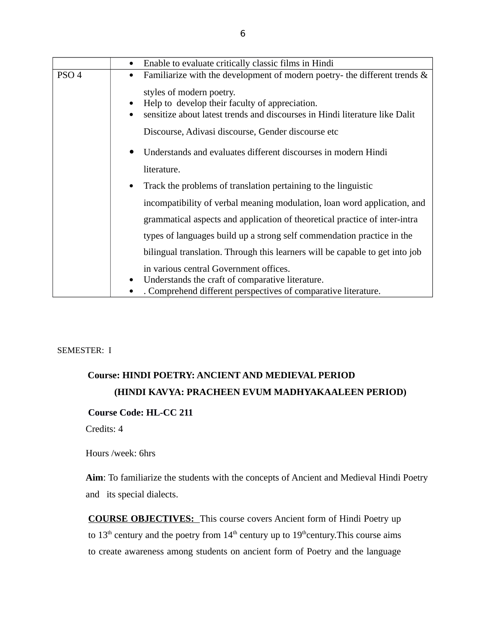|                  | Enable to evaluate critically classic films in Hindi<br>$\bullet$                                                                                                         |  |  |  |
|------------------|---------------------------------------------------------------------------------------------------------------------------------------------------------------------------|--|--|--|
| PSO <sub>4</sub> | Familiarize with the development of modern poetry- the different trends &<br>٠                                                                                            |  |  |  |
|                  | styles of modern poetry.<br>Help to develop their faculty of appreciation.<br>sensitize about latest trends and discourses in Hindi literature like Dalit                 |  |  |  |
|                  | Discourse, Adivasi discourse, Gender discourse etc                                                                                                                        |  |  |  |
|                  | Understands and evaluates different discourses in modern Hindi                                                                                                            |  |  |  |
|                  | literature.                                                                                                                                                               |  |  |  |
|                  | Track the problems of translation pertaining to the linguistic<br>$\bullet$                                                                                               |  |  |  |
|                  | incompatibility of verbal meaning modulation, loan word application, and                                                                                                  |  |  |  |
|                  | grammatical aspects and application of theoretical practice of inter-intra                                                                                                |  |  |  |
|                  | types of languages build up a strong self commendation practice in the                                                                                                    |  |  |  |
|                  | bilingual translation. Through this learners will be capable to get into job                                                                                              |  |  |  |
|                  | in various central Government offices.<br>Understands the craft of comparative literature.<br>$\bullet$<br>. Comprehend different perspectives of comparative literature. |  |  |  |

#### SEMESTER: I

# **Course: HINDI POETRY: ANCIENT AND MEDIEVAL PERIOD (HINDI KAVYA: PRACHEEN EVUM MADHYAKAALEEN PERIOD)**

## **Course Code: HL-CC 211**

Credits: 4

Hours /week: 6hrs

**Aim**: To familiarize the students with the concepts of Ancient and Medieval Hindi Poetry and its special dialects.

**COURSE OBJECTIVES:** This course covers Ancient form of Hindi Poetry up to  $13<sup>th</sup>$  century and the poetry from  $14<sup>th</sup>$  century up to  $19<sup>th</sup>$ century. This course aims to create awareness among students on ancient form of Poetry and the language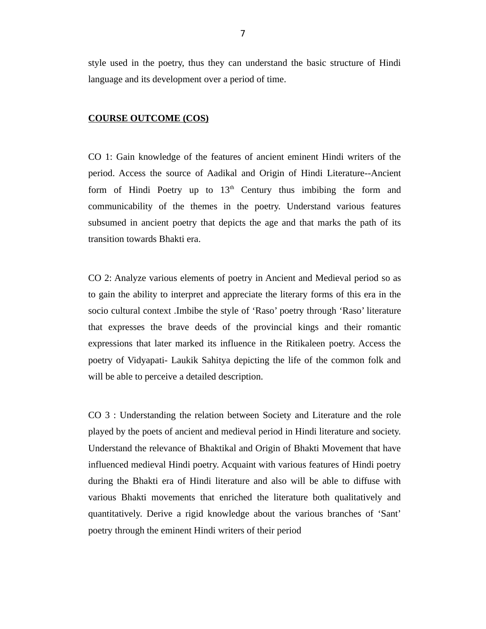style used in the poetry, thus they can understand the basic structure of Hindi language and its development over a period of time.

#### **COURSE OUTCOME (COS)**

CO 1: Gain knowledge of the features of ancient eminent Hindi writers of the period. Access the source of Aadikal and Origin of Hindi Literature--Ancient form of Hindi Poetry up to  $13<sup>th</sup>$  Century thus imbibing the form and communicability of the themes in the poetry. Understand various features subsumed in ancient poetry that depicts the age and that marks the path of its transition towards Bhakti era.

CO 2: Analyze various elements of poetry in Ancient and Medieval period so as to gain the ability to interpret and appreciate the literary forms of this era in the socio cultural context .Imbibe the style of 'Raso' poetry through 'Raso' literature that expresses the brave deeds of the provincial kings and their romantic expressions that later marked its influence in the Ritikaleen poetry. Access the poetry of Vidyapati- Laukik Sahitya depicting the life of the common folk and will be able to perceive a detailed description.

CO 3 : Understanding the relation between Society and Literature and the role played by the poets of ancient and medieval period in Hindi literature and society. Understand the relevance of Bhaktikal and Origin of Bhakti Movement that have influenced medieval Hindi poetry. Acquaint with various features of Hindi poetry during the Bhakti era of Hindi literature and also will be able to diffuse with various Bhakti movements that enriched the literature both qualitatively and quantitatively. Derive a rigid knowledge about the various branches of 'Sant' poetry through the eminent Hindi writers of their period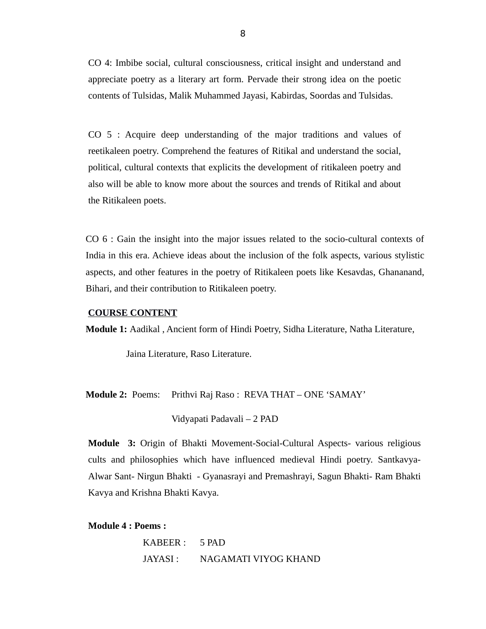CO 4: Imbibe social, cultural consciousness, critical insight and understand and appreciate poetry as a literary art form. Pervade their strong idea on the poetic contents of Tulsidas, Malik Muhammed Jayasi, Kabirdas, Soordas and Tulsidas.

CO 5 : Acquire deep understanding of the major traditions and values of reetikaleen poetry. Comprehend the features of Ritikal and understand the social, political, cultural contexts that explicits the development of ritikaleen poetry and also will be able to know more about the sources and trends of Ritikal and about the Ritikaleen poets.

CO 6 : Gain the insight into the major issues related to the socio-cultural contexts of India in this era. Achieve ideas about the inclusion of the folk aspects, various stylistic aspects, and other features in the poetry of Ritikaleen poets like Kesavdas, Ghananand, Bihari, and their contribution to Ritikaleen poetry.

#### **COURSE CONTENT**

**Module 1:** Aadikal , Ancient form of Hindi Poetry, Sidha Literature, Natha Literature,

Jaina Literature, Raso Literature.

**Module 2:** Poems: Prithvi Raj Raso : REVA THAT – ONE 'SAMAY'

Vidyapati Padavali – 2 PAD

**Module 3:** Origin of Bhakti Movement-Social-Cultural Aspects- various religious cults and philosophies which have influenced medieval Hindi poetry. Santkavya-Alwar Sant- Nirgun Bhakti - Gyanasrayi and Premashrayi, Sagun Bhakti- Ram Bhakti Kavya and Krishna Bhakti Kavya.

#### **Module 4 : Poems :**

| KABEER: 5 PAD |                      |
|---------------|----------------------|
| JAYASI :      | NAGAMATI VIYOG KHAND |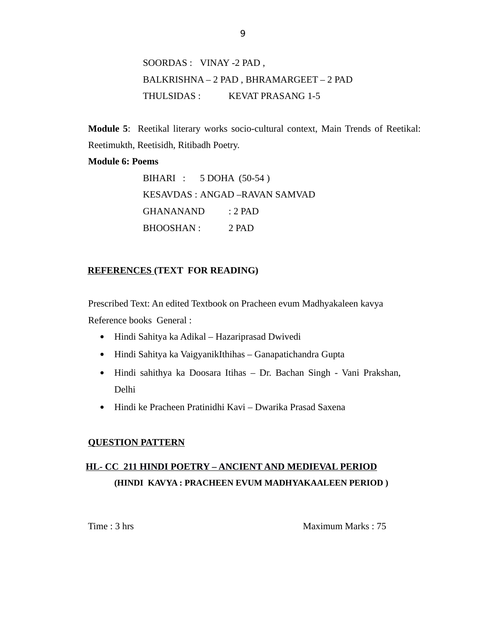SOORDAS : VINAY -2 PAD , BALKRISHNA – 2 PAD , BHRAMARGEET – 2 PAD THULSIDAS : KEVAT PRASANG 1-5

**Module 5**: Reetikal literary works socio-cultural context, Main Trends of Reetikal: Reetimukth, Reetisidh, Ritibadh Poetry.

#### **Module 6: Poems**

| BIHARI : 5 DOHA (50-54) |                                |
|-------------------------|--------------------------------|
|                         | KESAVDAS : ANGAD –RAVAN SAMVAD |
| <b>GHANANAND</b>        | $: 2$ PAD                      |
| <b>BHOOSHAN:</b>        | 2 PAD                          |

### **REFERENCES (TEXT FOR READING)**

Prescribed Text: An edited Textbook on Pracheen evum Madhyakaleen kavya Reference books General :

- Hindi Sahitya ka Adikal Hazariprasad Dwivedi
- Hindi Sahitya ka VaigyanikIthihas Ganapatichandra Gupta
- Hindi sahithya ka Doosara Itihas Dr. Bachan Singh Vani Prakshan, Delhi
- Hindi ke Pracheen Pratinidhi Kavi Dwarika Prasad Saxena

### **QUESTION PATTERN**

# **HL- CC 211 HINDI POETRY – ANCIENT AND MEDIEVAL PERIOD (HINDI KAVYA : PRACHEEN EVUM MADHYAKAALEEN PERIOD )**

Time : 3 hrs Maximum Marks : 75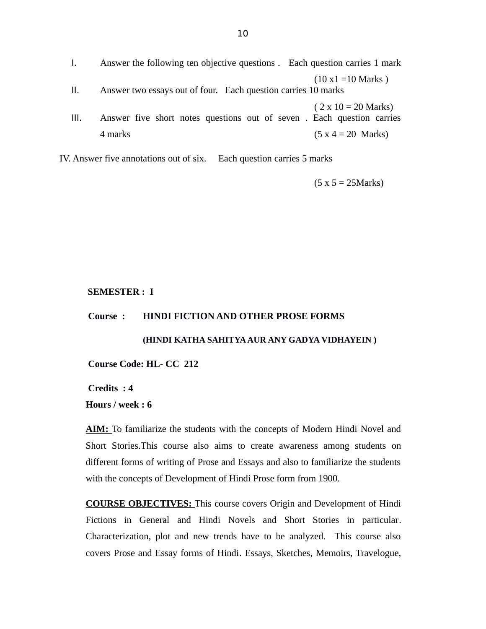- I. Answer the following ten objective questions . Each question carries 1 mark  $(10 x1 = 10 Marks)$ II. Answer two essays out of four. Each question carries 10 marks  $(2 \times 10 = 20$  Marks) III. Answer five short notes questions out of seven . Each question carries  $4 \text{ marks}$  (5 x 4 = 20 Marks)
- IV. Answer five annotations out of six. Each question carries 5 marks

 $(5 x 5 = 25 Marks)$ 

#### **SEMESTER : I**

#### **Course : HINDI FICTION AND OTHER PROSE FORMS**

#### **(HINDI KATHA SAHITYA AUR ANY GADYA VIDHAYEIN )**

**Course Code: HL- CC 212**

**Credits : 4**

**Hours / week : 6**

 **AIM :**To familiarize the students with the concepts of Modern Hindi Novel and Short Stories.This course also aims to create awareness among students on different forms of writing of Prose and Essays and also to familiarize the students with the concepts of Development of Hindi Prose form from 1900.

**COURSE OBJECTIVES:** This course covers Origin and Development of Hindi Fictions in General and Hindi Novels and Short Stories in particular. Characterization, plot and new trends have to be analyzed. This course also covers Prose and Essay forms of Hindi. Essays, Sketches, Memoirs, Travelogue,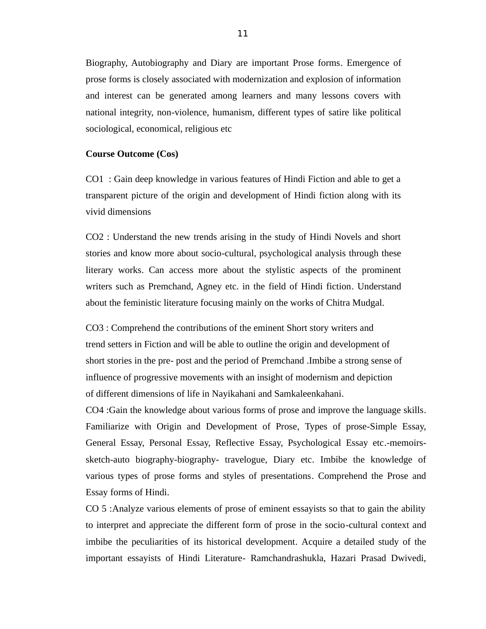Biography, Autobiography and Diary are important Prose forms. Emergence of prose forms is closely associated with modernization and explosion of information and interest can be generated among learners and many lessons covers with national integrity, non-violence, humanism, different types of satire like political sociological, economical, religious etc

#### **Course Outcome (Cos)**

CO1 : Gain deep knowledge in various features of Hindi Fiction and able to get a transparent picture of the origin and development of Hindi fiction along with its vivid dimensions

CO2 : Understand the new trends arising in the study of Hindi Novels and short stories and know more about socio-cultural, psychological analysis through these literary works. Can access more about the stylistic aspects of the prominent writers such as Premchand, Agney etc. in the field of Hindi fiction. Understand about the feministic literature focusing mainly on the works of Chitra Mudgal.

CO3 : Comprehend the contributions of the eminent Short story writers and trend setters in Fiction and will be able to outline the origin and development of short stories in the pre- post and the period of Premchand .Imbibe a strong sense of influence of progressive movements with an insight of modernism and depiction of different dimensions of life in Nayikahani and Samkaleenkahani.

CO4 :Gain the knowledge about various forms of prose and improve the language skills. Familiarize with Origin and Development of Prose, Types of prose-Simple Essay, General Essay, Personal Essay, Reflective Essay, Psychological Essay etc.-memoirssketch-auto biography-biography- travelogue, Diary etc. Imbibe the knowledge of various types of prose forms and styles of presentations. Comprehend the Prose and Essay forms of Hindi.

CO 5 :Analyze various elements of prose of eminent essayists so that to gain the ability to interpret and appreciate the different form of prose in the socio-cultural context and imbibe the peculiarities of its historical development. Acquire a detailed study of the important essayists of Hindi Literature- Ramchandrashukla, Hazari Prasad Dwivedi,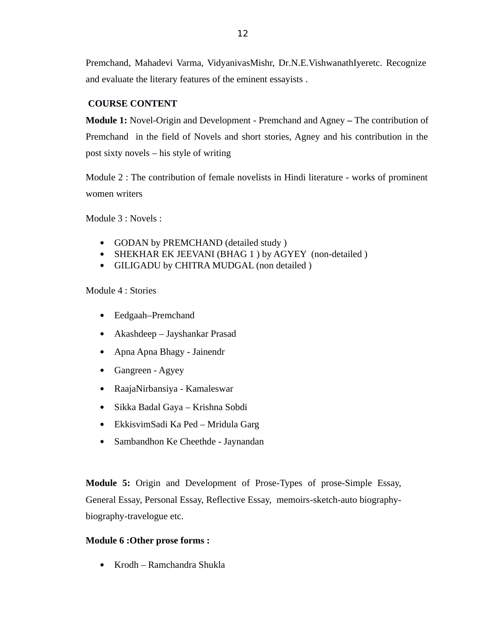Premchand, Mahadevi Varma, VidyanivasMishr, Dr.N.E.VishwanathIyeretc. Recognize and evaluate the literary features of the eminent essayists .

# **COURSE CONTENT**

**Module 1:** Novel-Origin and Development - Premchand and Agney **–** The contribution of Premchand in the field of Novels and short stories, Agney and his contribution in the post sixty novels – his style of writing

Module 2 : The contribution of female novelists in Hindi literature - works of prominent women writers

Module 3 : Novels :

- GODAN by PREMCHAND (detailed study )
- SHEKHAR EK JEEVANI (BHAG 1 ) by AGYEY (non-detailed )
- GILIGADU by CHITRA MUDGAL (non detailed )

Module 4 : Stories

- Eedgaah–Premchand
- Akashdeep Jayshankar Prasad
- Apna Apna Bhagy Jainendr
- Gangreen Agyey
- RaajaNirbansiya Kamaleswar
- Sikka Badal Gaya Krishna Sobdi
- EkkisvimSadi Ka Ped Mridula Garg
- Sambandhon Ke Cheethde Jaynandan

**Module 5:** Origin and Development of Prose-Types of prose-Simple Essay, General Essay, Personal Essay, Reflective Essay, memoirs-sketch-auto biographybiography-travelogue etc.

# **Module 6 :Other prose forms :**

Krodh – Ramchandra Shukla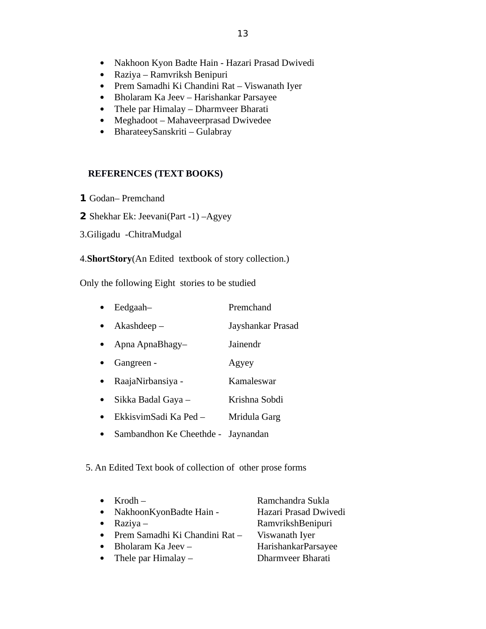- Nakhoon Kyon Badte Hain Hazari Prasad Dwivedi
- Raziya Ramvriksh Benipuri
- Prem Samadhi Ki Chandini Rat Viswanath Iyer
- Bholaram Ka Jeev Harishankar Parsayee
- Thele par Himalay Dharmveer Bharati
- Meghadoot Mahaveerprasad Dwivedee
- BharateeySanskriti Gulabray

### **REFERENCES (TEXT BOOKS)**

- **1** Godan– Premchand
- **2** Shekhar Ek: Jeevani(Part -1) –Agyey
- 3.Giligadu -ChitraMudgal

# 4.**ShortStory**(An Edited textbook of story collection.)

Only the following Eight stories to be studied

| Eedgaah-        | Premchand         |
|-----------------|-------------------|
| $Akash deep-$   | Jayshankar Prasad |
| Apna ApnaBhagy- | Jainendr          |
| Gangreen -      | Agyey             |
| ויזר רד         |                   |

- RaajaNirbansiya Kamaleswar
- Sikka Badal Gaya Krishna Sobdi
- EkkisvimSadi Ka Ped Mridula Garg
- Sambandhon Ke Cheethde Jaynandan

### 5. An Edited Text book of collection of other prose forms

|           | $\bullet$ Krodh –              | Ramchandra Sukla      |
|-----------|--------------------------------|-----------------------|
|           | • NakhoonKyonBadte Hain -      | Hazari Prasad Dwivedi |
|           | • Raziya –                     | RamvrikshBenipuri     |
| $\bullet$ | Prem Samadhi Ki Chandini Rat - | Viswanath Iyer        |
|           | • Bholaram Ka Jeev $-$         | HarishankarParsayee   |
|           |                                |                       |

- Thele par Himalay Dharmveer Bharati
	-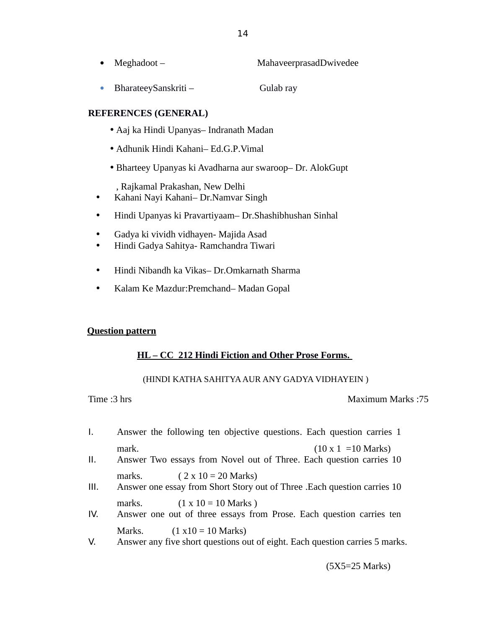| Meghadoot – | MahaveerprasadDwivedee |
|-------------|------------------------|
|-------------|------------------------|

14

• BharateeySanskriti – Gulab ray

## **REFERENCES (GENERAL)**

- •Aaj ka Hindi Upanyas– Indranath Madan
- •Adhunik Hindi Kahani– Ed.G.P.Vimal
- •Bharteey Upanyas ki Avadharna aur swaroop– Dr. AlokGupt

, Rajkamal Prakashan, New Delhi

- Kahani Nayi Kahani– Dr.Namvar Singh
- Hindi Upanyas ki Pravartiyaam– Dr.Shashibhushan Sinhal
- Gadya ki vividh vidhayen- Majida Asad
- Hindi Gadya Sahitya- Ramchandra Tiwari
- Hindi Nibandh ka Vikas– Dr.Omkarnath Sharma
- Kalam Ke Mazdur:Premchand– Madan Gopal

### **Question pattern**

# **HL – CC 212 Hindi Fiction and Other Prose Forms.**

### (HINDI KATHA SAHITYA AUR ANY GADYA VIDHAYEIN )

### Time :3 hrs Maximum Marks :75

- I. Answer the following ten objective questions. Each question carries 1 mark.  $(10 \times 1 = 10 \text{ Marks})$
- II. Answer Two essays from Novel out of Three. Each question carries 10 marks.  $(2 \times 10 = 20 \text{ Marks})$
- III. Answer one essay from Short Story out of Three .Each question carries 10 marks.  $(1 \times 10 = 10 \text{ Marks})$
- IV. Answer one out of three essays from Prose. Each question carries ten Marks.  $(1 x10 = 10 \text{ Marks})$
- V. Answer any five short questions out of eight. Each question carries 5 marks.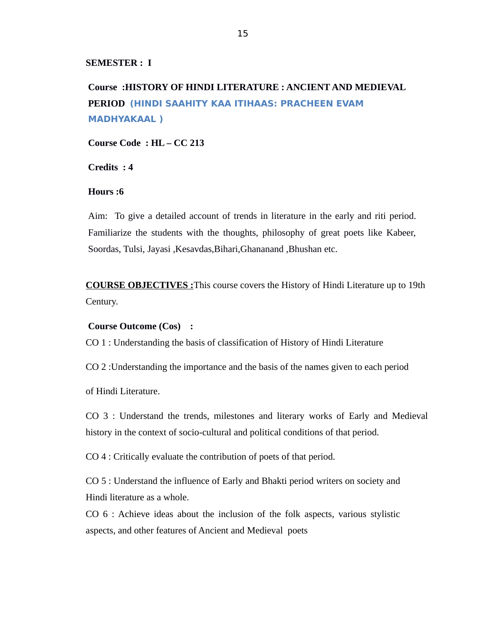**SEMESTER : I** 

**Course :HISTORY OF HINDI LITERATURE : ANCIENT AND MEDIEVAL PERIOD (HINDI SAAHITY KAA ITIHAAS: PRACHEEN EVAM MADHYAKAAL )**

**Course Code : HL – CC 213**

**Credits : 4** 

**Hours :6**

Aim: To give a detailed account of trends in literature in the early and riti period. Familiarize the students with the thoughts, philosophy of great poets like Kabeer, Soordas, Tulsi, Jayasi ,Kesavdas,Bihari,Ghananand ,Bhushan etc.

**COURSE OBJECTIVES :**This course covers the History of Hindi Literature up to 19th Century.

#### **Course Outcome (Cos) :**

CO 1 : Understanding the basis of classification of History of Hindi Literature

CO 2 :Understanding the importance and the basis of the names given to each period

of Hindi Literature.

CO 3 : Understand the trends, milestones and literary works of Early and Medieval history in the context of socio-cultural and political conditions of that period.

CO 4 : Critically evaluate the contribution of poets of that period.

CO 5 : Understand the influence of Early and Bhakti period writers on society and Hindi literature as a whole.

CO 6 : Achieve ideas about the inclusion of the folk aspects, various stylistic aspects, and other features of Ancient and Medieval poets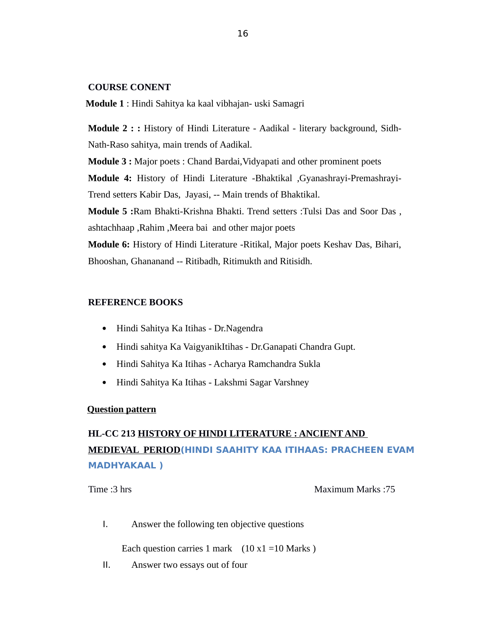### **COURSE CONENT**

**Module 1** : Hindi Sahitya ka kaal vibhajan- uski Samagri

**Module 2 : :** History of Hindi Literature - Aadikal - literary background, Sidh-Nath-Raso sahitya, main trends of Aadikal.

**Module 3 :** Major poets : Chand Bardai, Vidyapati and other prominent poets **Module 4:** History of Hindi Literature -Bhaktikal ,Gyanashrayi-Premashrayi-Trend setters Kabir Das, Jayasi, -- Main trends of Bhaktikal. **Module 5 :**Ram Bhakti-Krishna Bhakti. Trend setters :Tulsi Das and Soor Das , ashtachhaap ,Rahim ,Meera bai and other major poets **Module 6:** History of Hindi Literature -Ritikal, Major poets Keshav Das, Bihari,

Bhooshan, Ghananand -- Ritibadh, Ritimukth and Ritisidh.

#### **REFERENCE BOOKS**

- Hindi Sahitya Ka Itihas Dr.Nagendra
- Hindi sahitya Ka VaigyanikItihas Dr.Ganapati Chandra Gupt.
- Hindi Sahitya Ka Itihas Acharya Ramchandra Sukla
- Hindi Sahitya Ka Itihas Lakshmi Sagar Varshney

#### **Question pattern**

# **HL-CC 213 HISTORY OF HINDI LITERATURE : ANCIENT AND MEDIEVAL PERIOD(HINDI SAAHITY KAA ITIHAAS: PRACHEEN EVAM MADHYAKAAL )**

Time :3 hrs Maximum Marks :75

I. Answer the following ten objective questions

Each question carries 1 mark  $(10 x1 = 10 \text{ Marks})$ 

II. Answer two essays out of four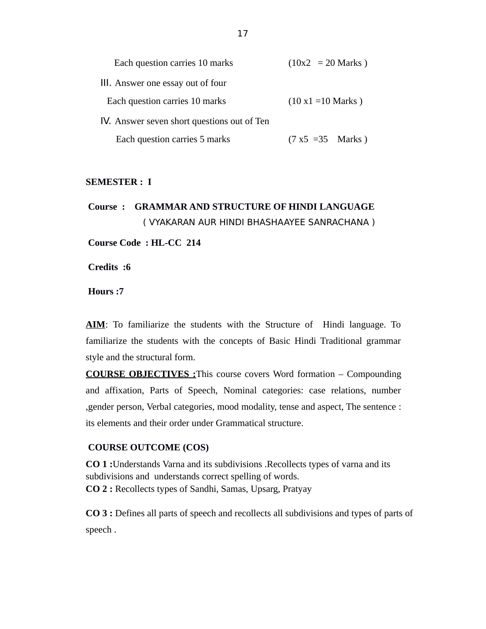| Each question carries 10 marks              | $(10x2 = 20$ Marks)        |
|---------------------------------------------|----------------------------|
| III. Answer one essay out of four           |                            |
| Each question carries 10 marks              | $(10 \times 1 = 10$ Marks) |
| IV. Answer seven short questions out of Ten |                            |
| Each question carries 5 marks               | $(7 x5 = 35$ Marks)        |

#### **SEMESTER : I**

**Course : GRAMMAR AND STRUCTURE OF HINDI LANGUAGE**  ( VYAKARAN AUR HINDI BHASHAAYEE SANRACHANA )

**Course Code : HL-CC 214**

**Credits :6**

**Hours :7**

**AIM**: To familiarize the students with the Structure of Hindi language. To familiarize the students with the concepts of Basic Hindi Traditional grammar style and the structural form.

 **COURSE OBJECTIVES :**This course covers Word formation – Compounding and affixation, Parts of Speech, Nominal categories: case relations, number ,gender person, Verbal categories, mood modality, tense and aspect, The sentence : its elements and their order under Grammatical structure.

#### **COURSE OUTCOME (COS)**

**CO 1 :**Understands Varna and its subdivisions .Recollects types of varna and its subdivisions and understands correct spelling of words. **CO 2 :** Recollects types of Sandhi, Samas, Upsarg, Pratyay

**CO 3 :** Defines all parts of speech and recollects all subdivisions and types of parts of speech .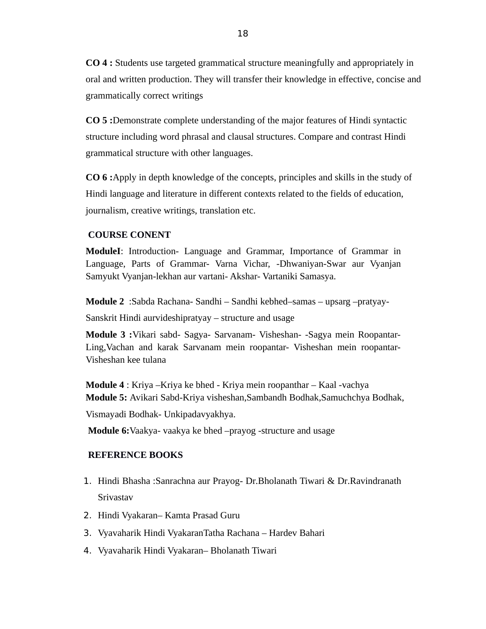**CO 4 :** Students use targeted grammatical structure meaningfully and appropriately in oral and written production. They will transfer their knowledge in effective, concise and grammatically correct writings

**CO 5 :**Demonstrate complete understanding of the major features of Hindi syntactic structure including word phrasal and clausal structures. Compare and contrast Hindi grammatical structure with other languages.

**CO 6 :**Apply in depth knowledge of the concepts, principles and skills in the study of Hindi language and literature in different contexts related to the fields of education, journalism, creative writings, translation etc.

# **COURSE CONENT**

**ModuleI**: Introduction- Language and Grammar, Importance of Grammar in Language, Parts of Grammar- Varna Vichar, -Dhwaniyan-Swar aur Vyanjan Samyukt Vyanjan-lekhan aur vartani- Akshar- Vartaniki Samasya.

**Module 2** :Sabda Rachana- Sandhi – Sandhi kebhed–samas – upsarg –pratyay-Sanskrit Hindi aurvideshipratyay – structure and usage

**Module 3 :**Vikari sabd- Sagya- Sarvanam- Visheshan- -Sagya mein Roopantar-Ling,Vachan and karak Sarvanam mein roopantar- Visheshan mein roopantar-Visheshan kee tulana

**Module 4** : Kriya –Kriya ke bhed - Kriya mein roopanthar – Kaal -vachya **Module 5: Avikari Sabd-Kriya visheshan, Sambandh Bodhak, Samuchchya Bodhak,** 

Vismayadi Bodhak- Unkipadavyakhya.

**Module 6:**Vaakya- vaakya ke bhed –prayog -structure and usage

### **REFERENCE BOOKS**

- 1. Hindi Bhasha :Sanrachna aur Prayog- Dr.Bholanath Tiwari & Dr.Ravindranath Srivastav
- 2. Hindi Vyakaran– Kamta Prasad Guru
- 3. Vyavaharik Hindi VyakaranTatha Rachana Hardev Bahari
- 4. Vyavaharik Hindi Vyakaran– Bholanath Tiwari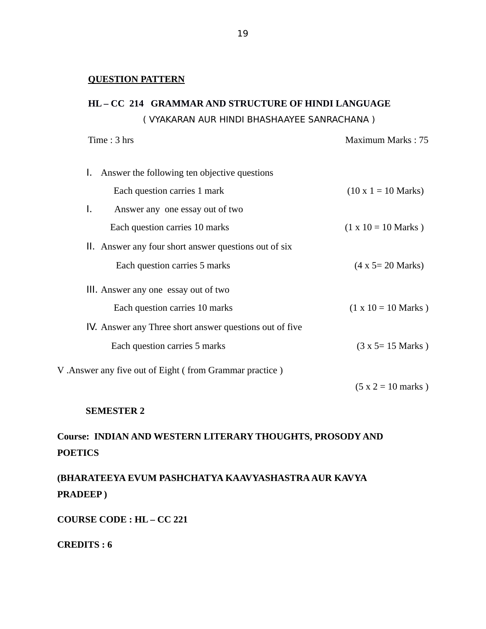# **QUESTION PATTERN**

# **HL – CC 214 GRAMMAR AND STRUCTURE OF HINDI LANGUAGE**  ( VYAKARAN AUR HINDI BHASHAAYEE SANRACHANA )

| Time: 3 hrs                                             | Maximum Marks: 75            |
|---------------------------------------------------------|------------------------------|
| Answer the following ten objective questions<br>Ъ.      |                              |
| Each question carries 1 mark                            | $(10 \times 1 = 10$ Marks)   |
| Answer any one essay out of two<br>L.                   |                              |
| Each question carries 10 marks                          | $(1 \times 10 = 10$ Marks)   |
| II. Answer any four short answer questions out of six   |                              |
| Each question carries 5 marks                           | $(4 \times 5 = 20$ Marks)    |
| III. Answer any one essay out of two                    |                              |
| Each question carries 10 marks                          | $(1 \times 10 = 10$ Marks)   |
| IV. Answer any Three short answer questions out of five |                              |
| Each question carries 5 marks                           | $(3 x 5 = 15 Marks)$         |
| V. Answer any five out of Eight (from Grammar practice) |                              |
|                                                         | $(5 x 2 = 10 \text{ marks})$ |

### **SEMESTER 2**

# **Course: INDIAN AND WESTERN LITERARY THOUGHTS, PROSODY AND POETICS**

**(BHARATEEYA EVUM PASHCHATYA KAAVYASHASTRA AUR KAVYA PRADEEP )**

**COURSE CODE : HL – CC 221**

**CREDITS : 6**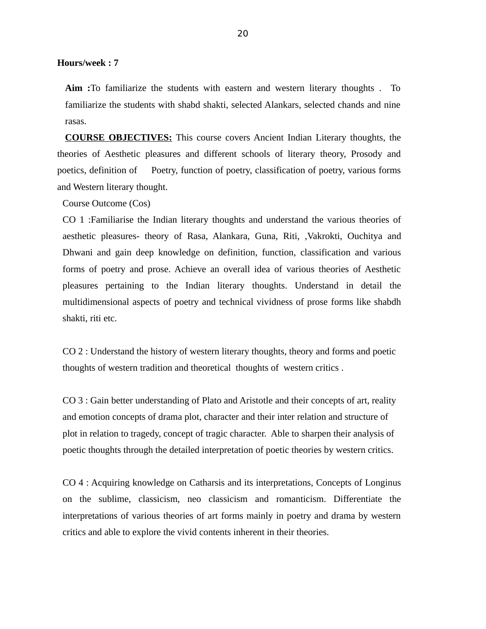**Hours/week : 7** 

**Aim :**To familiarize the students with eastern and western literary thoughts . To familiarize the students with shabd shakti, selected Alankars, selected chands and nine rasas.

**COURSE OBJECTIVES:** This course covers Ancient Indian Literary thoughts, the theories of Aesthetic pleasures and different schools of literary theory, Prosody and poetics, definition of Poetry, function of poetry, classification of poetry, various forms and Western literary thought.

Course Outcome (Cos)

CO 1 :Familiarise the Indian literary thoughts and understand the various theories of aesthetic pleasures- theory of Rasa, Alankara, Guna, Riti, ,Vakrokti, Ouchitya and Dhwani and gain deep knowledge on definition, function, classification and various forms of poetry and prose. Achieve an overall idea of various theories of Aesthetic pleasures pertaining to the Indian literary thoughts. Understand in detail the multidimensional aspects of poetry and technical vividness of prose forms like shabdh shakti, riti etc.

CO 2 : Understand the history of western literary thoughts, theory and forms and poetic thoughts of western tradition and theoretical thoughts of western critics .

CO 3 : Gain better understanding of Plato and Aristotle and their concepts of art, reality and emotion concepts of drama plot, character and their inter relation and structure of plot in relation to tragedy, concept of tragic character. Able to sharpen their analysis of poetic thoughts through the detailed interpretation of poetic theories by western critics.

CO 4 : Acquiring knowledge on Catharsis and its interpretations, Concepts of Longinus on the sublime, classicism, neo classicism and romanticism. Differentiate the interpretations of various theories of art forms mainly in poetry and drama by western critics and able to explore the vivid contents inherent in their theories.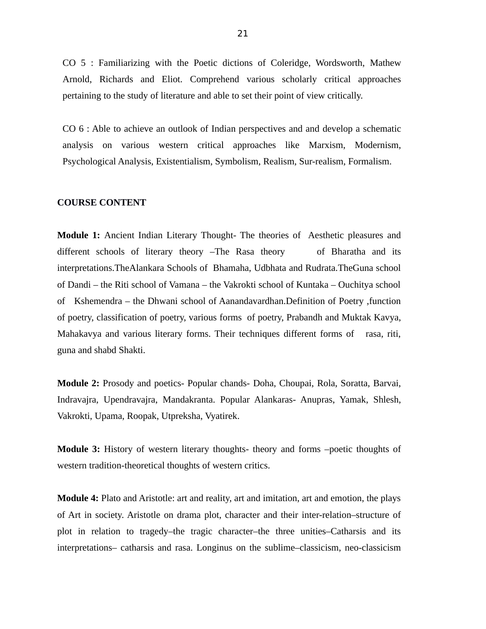CO 5 : Familiarizing with the Poetic dictions of Coleridge, Wordsworth, Mathew Arnold, Richards and Eliot. Comprehend various scholarly critical approaches pertaining to the study of literature and able to set their point of view critically.

CO 6 : Able to achieve an outlook of Indian perspectives and and develop a schematic analysis on various western critical approaches like Marxism, Modernism, Psychological Analysis, Existentialism, Symbolism, Realism, Sur-realism, Formalism.

#### **COURSE CONTENT**

**Module 1:** Ancient Indian Literary Thought- The theories of Aesthetic pleasures and different schools of literary theory –The Rasa theory of Bharatha and its interpretations.TheAlankara Schools of Bhamaha, Udbhata and Rudrata.TheGuna school of Dandi – the Riti school of Vamana – the Vakrokti school of Kuntaka – Ouchitya school of Kshemendra – the Dhwani school of Aanandavardhan.Definition of Poetry ,function of poetry, classification of poetry, various forms of poetry, Prabandh and Muktak Kavya, Mahakavya and various literary forms. Their techniques different forms of rasa, riti, guna and shabd Shakti.

**Module 2:** Prosody and poetics- Popular chands- Doha, Choupai, Rola, Soratta, Barvai, Indravajra, Upendravajra, Mandakranta. Popular Alankaras- Anupras, Yamak, Shlesh, Vakrokti, Upama, Roopak, Utpreksha, Vyatirek.

**Module 3:** History of western literary thoughts- theory and forms –poetic thoughts of western tradition-theoretical thoughts of western critics.

**Module 4:** Plato and Aristotle: art and reality, art and imitation, art and emotion, the plays of Art in society. Aristotle on drama plot, character and their inter-relation–structure of plot in relation to tragedy–the tragic character–the three unities–Catharsis and its interpretations– catharsis and rasa. Longinus on the sublime–classicism, neo-classicism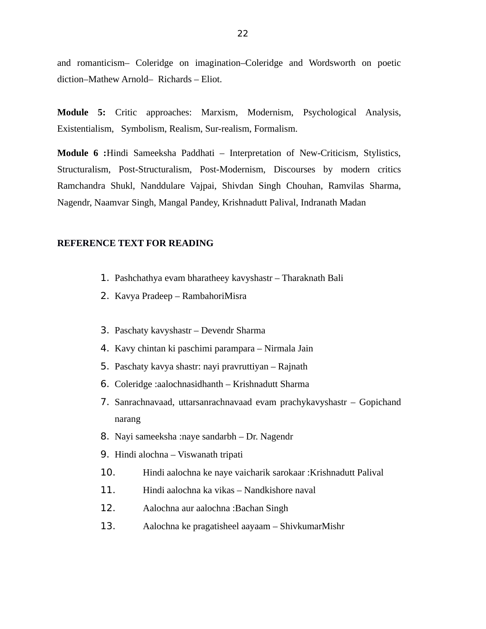and romanticism– Coleridge on imagination–Coleridge and Wordsworth on poetic diction–Mathew Arnold– Richards – Eliot.

**Module 5:** Critic approaches: Marxism, Modernism, Psychological Analysis, Existentialism, Symbolism, Realism, Sur-realism, Formalism.

**Module 6 :**Hindi Sameeksha Paddhati – Interpretation of New-Criticism, Stylistics, Structuralism, Post-Structuralism, Post-Modernism, Discourses by modern critics Ramchandra Shukl, Nanddulare Vajpai, Shivdan Singh Chouhan, Ramvilas Sharma, Nagendr, Naamvar Singh, Mangal Pandey, Krishnadutt Palival, Indranath Madan

#### **REFERENCE TEXT FOR READING**

- 1. Pashchathya evam bharatheey kavyshastr Tharaknath Bali
- 2. Kavya Pradeep RambahoriMisra
- 3. Paschaty kavyshastr Devendr Sharma
- 4. Kavy chintan ki paschimi parampara Nirmala Jain
- 5. Paschaty kavya shastr: nayi pravruttiyan Rajnath
- 6. Coleridge :aalochnasidhanth Krishnadutt Sharma
- 7. Sanrachnavaad, uttarsanrachnavaad evam prachykavyshastr Gopichand narang
- 8. Nayi sameeksha :naye sandarbh Dr. Nagendr
- 9. Hindi alochna Viswanath tripati
- 10. Hindi aalochna ke naye vaicharik sarokaar :Krishnadutt Palival
- 11. Hindi aalochna ka vikas Nandkishore naval
- 12. Aalochna aur aalochna :Bachan Singh
- 13. Aalochna ke pragatisheel aayaam ShivkumarMishr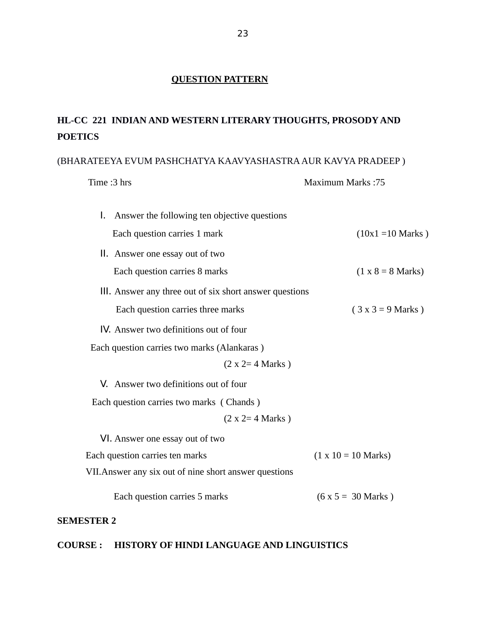# **QUESTION PATTERN**

# **HL-CC 221 INDIAN AND WESTERN LITERARY THOUGHTS, PROSODY AND POETICS**

## (BHARATEEYA EVUM PASHCHATYA KAAVYASHASTRA AUR KAVYA PRADEEP )

#### Time :3 hrs Maximum Marks :75

| Answer the following ten objective questions<br>I.      |                             |
|---------------------------------------------------------|-----------------------------|
| Each question carries 1 mark                            | $(10x1 = 10 \text{ Marks})$ |
| II. Answer one essay out of two                         |                             |
| Each question carries 8 marks                           | $(1 x 8 = 8 Marks)$         |
| III. Answer any three out of six short answer questions |                             |
| Each question carries three marks                       | $(3x3 = 9 Marks)$           |
| IV. Answer two definitions out of four                  |                             |
| Each question carries two marks (Alankaras)             |                             |
| $(2 x 2= 4 Marks)$                                      |                             |
| V. Answer two definitions out of four                   |                             |
| Each question carries two marks (Chands)                |                             |
| $(2 x 2= 4 Marks)$                                      |                             |
| VI. Answer one essay out of two                         |                             |
| Each question carries ten marks                         | $(1 \times 10 = 10$ Marks)  |
| VII. Answer any six out of nine short answer questions  |                             |
| Each question carries 5 marks                           | $(6 x 5 = 30 Marks)$        |

# **SEMESTER 2**

# **COURSE : HISTORY OF HINDI LANGUAGE AND LINGUISTICS**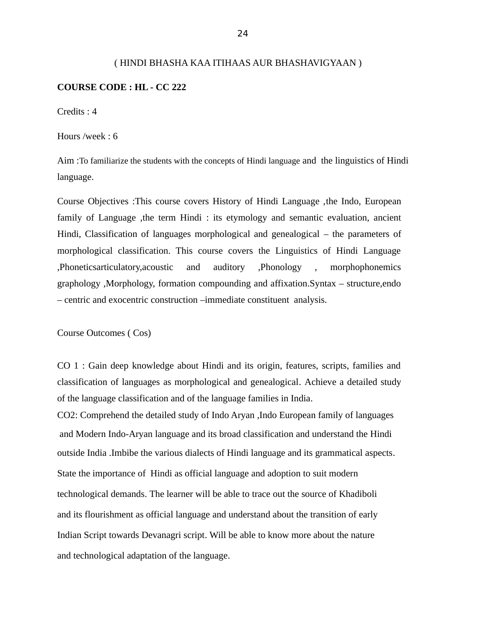#### ( HINDI BHASHA KAA ITIHAAS AUR BHASHAVIGYAAN )

#### **COURSE CODE : HL - CC 222**

Credits : 4

Hours /week : 6

Aim :To familiarize the students with the concepts of Hindi language and the linguistics of Hindi language.

Course Objectives :This course covers History of Hindi Language ,the Indo, European family of Language ,the term Hindi : its etymology and semantic evaluation, ancient Hindi, Classification of languages morphological and genealogical – the parameters of morphological classification. This course covers the Linguistics of Hindi Language ,Phoneticsarticulatory,acoustic and auditory ,Phonology , morphophonemics graphology ,Morphology, formation compounding and affixation.Syntax – structure,endo – centric and exocentric construction –immediate constituent analysis.

Course Outcomes ( Cos)

CO 1 : Gain deep knowledge about Hindi and its origin, features, scripts, families and classification of languages as morphological and genealogical. Achieve a detailed study of the language classification and of the language families in India.

CO2: Comprehend the detailed study of Indo Aryan ,Indo European family of languages and Modern Indo-Aryan language and its broad classification and understand the Hindi outside India .Imbibe the various dialects of Hindi language and its grammatical aspects. State the importance of Hindi as official language and adoption to suit modern technological demands. The learner will be able to trace out the source of Khadiboli and its flourishment as official language and understand about the transition of early Indian Script towards Devanagri script. Will be able to know more about the nature and technological adaptation of the language.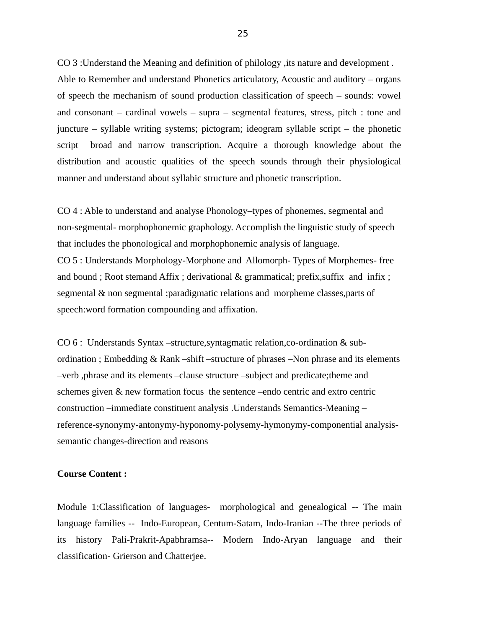CO 3 :Understand the Meaning and definition of philology ,its nature and development . Able to Remember and understand Phonetics articulatory, Acoustic and auditory – organs of speech the mechanism of sound production classification of speech – sounds: vowel and consonant – cardinal vowels – supra – segmental features, stress, pitch : tone and juncture – syllable writing systems; pictogram; ideogram syllable script – the phonetic script broad and narrow transcription. Acquire a thorough knowledge about the distribution and acoustic qualities of the speech sounds through their physiological manner and understand about syllabic structure and phonetic transcription.

CO 4 : Able to understand and analyse Phonology–types of phonemes, segmental and non-segmental- morphophonemic graphology. Accomplish the linguistic study of speech that includes the phonological and morphophonemic analysis of language. CO 5 : Understands Morphology-Morphone and Allomorph- Types of Morphemes- free and bound ; Root stemand Affix ; derivational & grammatical; prefix,suffix and infix ; segmental & non segmental ;paradigmatic relations and morpheme classes,parts of speech:word formation compounding and affixation.

CO 6 : Understands Syntax –structure,syntagmatic relation,co-ordination & subordination ; Embedding & Rank –shift –structure of phrases –Non phrase and its elements –verb ,phrase and its elements –clause structure –subject and predicate;theme and schemes given & new formation focus the sentence –endo centric and extro centric construction –immediate constituent analysis .Understands Semantics-Meaning – reference-synonymy-antonymy-hyponomy-polysemy-hymonymy-componential analysissemantic changes-direction and reasons

#### **Course Content :**

Module 1:Classification of languages- morphological and genealogical -- The main language families -- Indo-European, Centum-Satam, Indo-Iranian --The three periods of its history Pali-Prakrit-Apabhramsa-- Modern Indo-Aryan language and their classification- Grierson and Chatterjee.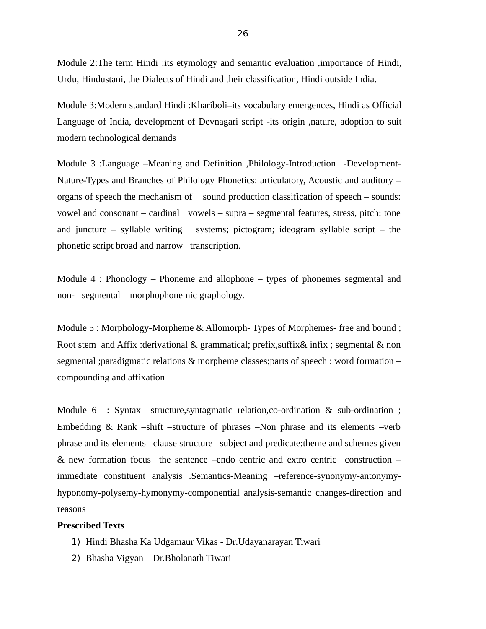Module 2:The term Hindi :its etymology and semantic evaluation ,importance of Hindi, Urdu, Hindustani, the Dialects of Hindi and their classification, Hindi outside India.

Module 3:Modern standard Hindi :Khariboli–its vocabulary emergences, Hindi as Official Language of India, development of Devnagari script -its origin ,nature, adoption to suit modern technological demands

Module 3 :Language –Meaning and Definition ,Philology-Introduction -Development-Nature-Types and Branches of Philology Phonetics: articulatory, Acoustic and auditory – organs of speech the mechanism of sound production classification of speech – sounds: vowel and consonant – cardinal vowels – supra – segmental features, stress, pitch: tone and juncture – syllable writing systems; pictogram; ideogram syllable script – the phonetic script broad and narrow transcription.

Module 4 : Phonology – Phoneme and allophone – types of phonemes segmental and non- segmental – morphophonemic graphology.

Module 5 : Morphology-Morpheme & Allomorph- Types of Morphemes- free and bound ; Root stem and Affix :derivational & grammatical; prefix,suffix& infix ; segmental & non segmental ;paradigmatic relations & morpheme classes;parts of speech : word formation – compounding and affixation

Module 6 : Syntax –structure, syntagmatic relation, co-ordination & sub-ordination ; Embedding & Rank –shift –structure of phrases –Non phrase and its elements –verb phrase and its elements –clause structure –subject and predicate;theme and schemes given & new formation focus the sentence –endo centric and extro centric construction – immediate constituent analysis .Semantics-Meaning –reference-synonymy-antonymyhyponomy-polysemy-hymonymy-componential analysis-semantic changes-direction and reasons

#### **Prescribed Texts**

- 1) Hindi Bhasha Ka Udgamaur Vikas Dr.Udayanarayan Tiwari
- 2) Bhasha Vigyan Dr.Bholanath Tiwari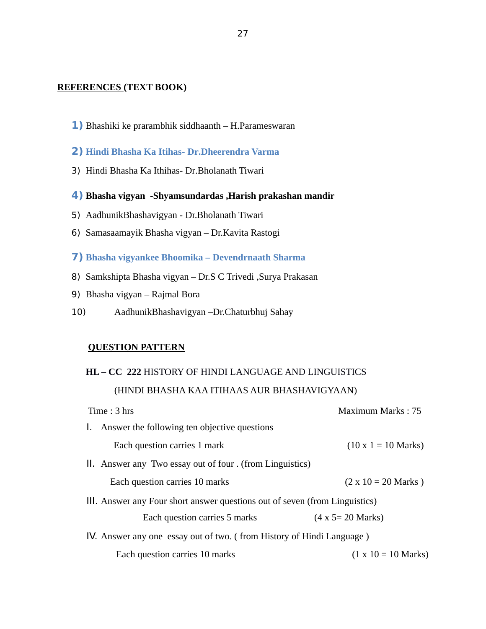## **REFERENCES (TEXT BOOK)**

- **1)** Bhashiki ke prarambhik siddhaanth H.Parameswaran
- **2) Hindi Bhasha Ka Itihas- Dr.Dheerendra Varma**
- 3) Hindi Bhasha Ka Ithihas- Dr.Bholanath Tiwari
- **4) Bhasha vigyan -Shyamsundardas ,Harish prakashan mandir**
- 5) AadhunikBhashavigyan Dr.Bholanath Tiwari
- 6) Samasaamayik Bhasha vigyan Dr.Kavita Rastogi
- **7) Bhasha vigyankee Bhoomika Devendrnaath Sharma**
- 8) Samkshipta Bhasha vigyan Dr.S C Trivedi ,Surya Prakasan
- 9) Bhasha vigyan Rajmal Bora
- 10) AadhunikBhashavigyan –Dr.Chaturbhuj Sahay

# **QUESTION PATTERN**

# **HL – CC 222** HISTORY OF HINDI LANGUAGE AND LINGUISTICS (HINDI BHASHA KAA ITIHAAS AUR BHASHAVIGYAAN) Time : 3 hrs Maximum Marks : 75

|                                                                             | тинс. эшэ                                                 | wiashihumi widing , 70             |
|-----------------------------------------------------------------------------|-----------------------------------------------------------|------------------------------------|
|                                                                             | 1. Answer the following ten objective questions           |                                    |
|                                                                             | Each question carries 1 mark                              | $(10 \times 1 = 10$ Marks)         |
|                                                                             | II. Answer any Two essay out of four . (from Linguistics) |                                    |
|                                                                             | Each question carries 10 marks                            | $(2 \times 10 = 20$ Marks)         |
| III. Answer any Four short answer questions out of seven (from Linguistics) |                                                           |                                    |
|                                                                             | Each question carries 5 marks                             | $(4 \times 5 = 20$ Marks)          |
| IV. Answer any one essay out of two. (from History of Hindi Language)       |                                                           |                                    |
|                                                                             | Each question carries 10 marks                            | $(1 \times 10 = 10 \text{ Marks})$ |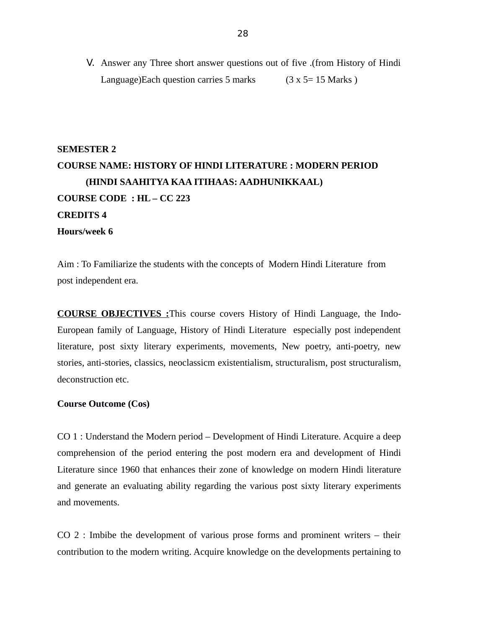V. Answer any Three short answer questions out of five .(from History of Hindi Language)Each question carries 5 marks  $(3 \times 5 = 15 \text{ Marks})$ 

# **SEMESTER 2 COURSE NAME: HISTORY OF HINDI LITERATURE : MODERN PERIOD (HINDI SAAHITYA KAA ITIHAAS: AADHUNIKKAAL) COURSE CODE : HL – CC 223 CREDITS 4 Hours/week 6**

Aim : To Familiarize the students with the concepts of Modern Hindi Literature from post independent era.

**COURSE OBJECTIVES :**This course covers History of Hindi Language, the Indo-European family of Language, History of Hindi Literature especially post independent literature, post sixty literary experiments, movements, New poetry, anti-poetry, new stories, anti-stories, classics, neoclassicm existentialism, structuralism, post structuralism, deconstruction etc.

#### **Course Outcome (Cos)**

CO 1 : Understand the Modern period – Development of Hindi Literature. Acquire a deep comprehension of the period entering the post modern era and development of Hindi Literature since 1960 that enhances their zone of knowledge on modern Hindi literature and generate an evaluating ability regarding the various post sixty literary experiments and movements.

CO 2 : Imbibe the development of various prose forms and prominent writers – their contribution to the modern writing. Acquire knowledge on the developments pertaining to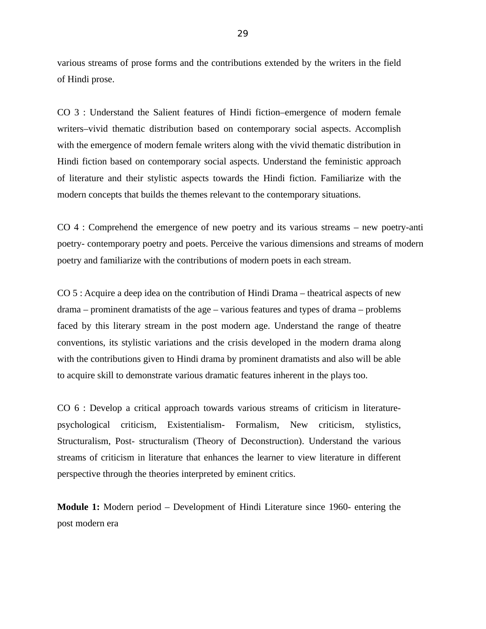various streams of prose forms and the contributions extended by the writers in the field of Hindi prose.

CO 3 : Understand the Salient features of Hindi fiction–emergence of modern female writers–vivid thematic distribution based on contemporary social aspects. Accomplish with the emergence of modern female writers along with the vivid thematic distribution in Hindi fiction based on contemporary social aspects. Understand the feministic approach of literature and their stylistic aspects towards the Hindi fiction. Familiarize with the modern concepts that builds the themes relevant to the contemporary situations.

CO 4 : Comprehend the emergence of new poetry and its various streams – new poetry-anti poetry- contemporary poetry and poets. Perceive the various dimensions and streams of modern poetry and familiarize with the contributions of modern poets in each stream.

CO 5 : Acquire a deep idea on the contribution of Hindi Drama – theatrical aspects of new drama – prominent dramatists of the age – various features and types of drama – problems faced by this literary stream in the post modern age. Understand the range of theatre conventions, its stylistic variations and the crisis developed in the modern drama along with the contributions given to Hindi drama by prominent dramatists and also will be able to acquire skill to demonstrate various dramatic features inherent in the plays too.

CO 6 : Develop a critical approach towards various streams of criticism in literaturepsychological criticism, Existentialism- Formalism, New criticism, stylistics, Structuralism, Post- structuralism (Theory of Deconstruction). Understand the various streams of criticism in literature that enhances the learner to view literature in different perspective through the theories interpreted by eminent critics.

**Module 1:** Modern period – Development of Hindi Literature since 1960- entering the post modern era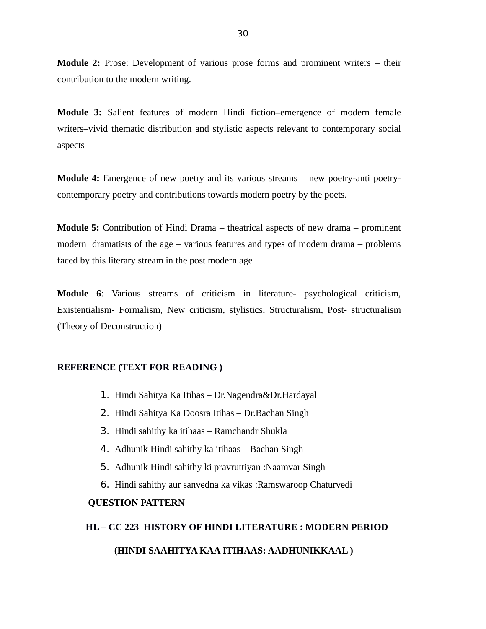**Module 2:** Prose: Development of various prose forms and prominent writers – their contribution to the modern writing.

**Module 3:** Salient features of modern Hindi fiction–emergence of modern female writers–vivid thematic distribution and stylistic aspects relevant to contemporary social aspects

**Module 4:** Emergence of new poetry and its various streams – new poetry-anti poetrycontemporary poetry and contributions towards modern poetry by the poets.

**Module 5:** Contribution of Hindi Drama – theatrical aspects of new drama – prominent modern dramatists of the age – various features and types of modern drama – problems faced by this literary stream in the post modern age .

**Module 6**: Various streams of criticism in literature- psychological criticism, Existentialism- Formalism, New criticism, stylistics, Structuralism, Post- structuralism (Theory of Deconstruction)

#### **REFERENCE (TEXT FOR READING )**

- 1. Hindi Sahitya Ka Itihas Dr.Nagendra&Dr.Hardayal
- 2. Hindi Sahitya Ka Doosra Itihas Dr.Bachan Singh
- 3. Hindi sahithy ka itihaas Ramchandr Shukla
- 4. Adhunik Hindi sahithy ka itihaas Bachan Singh
- 5. Adhunik Hindi sahithy ki pravruttiyan :Naamvar Singh
- 6. Hindi sahithy aur sanvedna ka vikas :Ramswaroop Chaturvedi

#### **QUESTION PATTERN**

#### **HL – CC 223 HISTORY OF HINDI LITERATURE : MODERN PERIOD**

#### **(HINDI SAAHITYA KAA ITIHAAS: AADHUNIKKAAL )**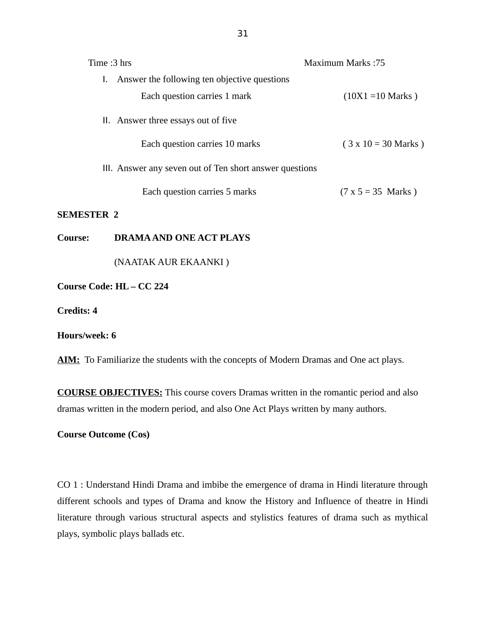| Time: 3 hrs            |                                                         | <b>Maximum Marks:75</b>     |
|------------------------|---------------------------------------------------------|-----------------------------|
|                        | I. Answer the following ten objective questions         |                             |
|                        | Each question carries 1 mark                            | $(10X1 = 10 \text{ Marks})$ |
|                        | II. Answer three essays out of five                     |                             |
|                        | Each question carries 10 marks                          | $(3 \times 10 = 30$ Marks)  |
|                        | III. Answer any seven out of Ten short answer questions |                             |
|                        | Each question carries 5 marks                           | $(7 x 5 = 35 Marks)$        |
| <b>SEMESTER 2</b>      |                                                         |                             |
| <b>Course:</b>         | <b>DRAMA AND ONE ACT PLAYS</b>                          |                             |
|                        | (NAATAK AUR EKAANKI)                                    |                             |
| Course Code: HL-CC 224 |                                                         |                             |
| <b>Credits: 4</b>      |                                                         |                             |
| Hours/week: 6          |                                                         |                             |

AIM: To Familiarize the students with the concepts of Modern Dramas and One act plays.

**COURSE OBJECTIVES:** This course covers Dramas written in the romantic period and also dramas written in the modern period, and also One Act Plays written by many authors.

**Course Outcome (Cos)**

CO 1 : Understand Hindi Drama and imbibe the emergence of drama in Hindi literature through different schools and types of Drama and know the History and Influence of theatre in Hindi literature through various structural aspects and stylistics features of drama such as mythical plays, symbolic plays ballads etc.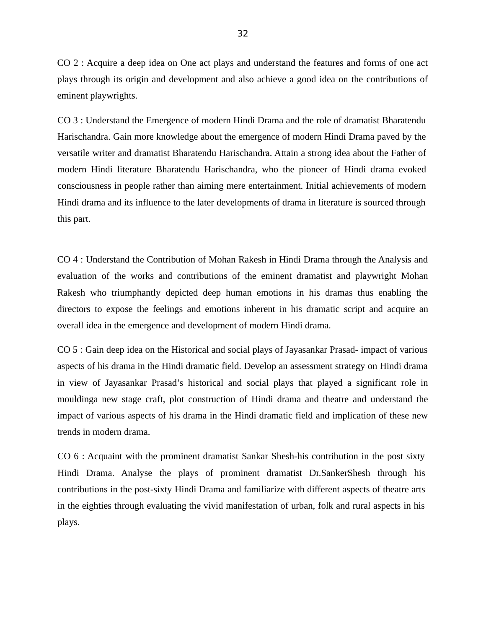CO 2 : Acquire a deep idea on One act plays and understand the features and forms of one act plays through its origin and development and also achieve a good idea on the contributions of eminent playwrights.

CO 3 : Understand the Emergence of modern Hindi Drama and the role of dramatist Bharatendu Harischandra. Gain more knowledge about the emergence of modern Hindi Drama paved by the versatile writer and dramatist Bharatendu Harischandra. Attain a strong idea about the Father of modern Hindi literature Bharatendu Harischandra, who the pioneer of Hindi drama evoked consciousness in people rather than aiming mere entertainment. Initial achievements of modern Hindi drama and its influence to the later developments of drama in literature is sourced through this part.

CO 4 : Understand the Contribution of Mohan Rakesh in Hindi Drama through the Analysis and evaluation of the works and contributions of the eminent dramatist and playwright Mohan Rakesh who triumphantly depicted deep human emotions in his dramas thus enabling the directors to expose the feelings and emotions inherent in his dramatic script and acquire an overall idea in the emergence and development of modern Hindi drama.

CO 5 : Gain deep idea on the Historical and social plays of Jayasankar Prasad- impact of various aspects of his drama in the Hindi dramatic field. Develop an assessment strategy on Hindi drama in view of Jayasankar Prasad's historical and social plays that played a significant role in mouldinga new stage craft, plot construction of Hindi drama and theatre and understand the impact of various aspects of his drama in the Hindi dramatic field and implication of these new trends in modern drama.

CO 6 : Acquaint with the prominent dramatist Sankar Shesh-his contribution in the post sixty Hindi Drama. Analyse the plays of prominent dramatist Dr.SankerShesh through his contributions in the post-sixty Hindi Drama and familiarize with different aspects of theatre arts in the eighties through evaluating the vivid manifestation of urban, folk and rural aspects in his plays.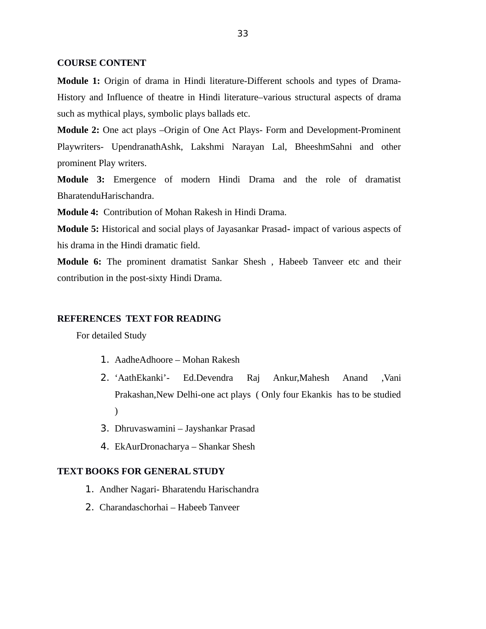#### **COURSE CONTENT**

**Module 1:** Origin of drama in Hindi literature-Different schools and types of Drama-History and Influence of theatre in Hindi literature–various structural aspects of drama such as mythical plays, symbolic plays ballads etc.

**Module 2:** One act plays –Origin of One Act Plays- Form and Development-Prominent Playwriters- UpendranathAshk, Lakshmi Narayan Lal, BheeshmSahni and other prominent Play writers.

**Module 3:** Emergence of modern Hindi Drama and the role of dramatist BharatenduHarischandra.

**Module 4:** Contribution of Mohan Rakesh in Hindi Drama.

**Module 5:** Historical and social plays of Jayasankar Prasad**-** impact of various aspects of his drama in the Hindi dramatic field.

**Module 6:** The prominent dramatist Sankar Shesh , Habeeb Tanveer etc and their contribution in the post-sixty Hindi Drama.

#### **REFERENCES TEXT FOR READING**

For detailed Study

- 1. AadheAdhoore Mohan Rakesh
- 2. 'AathEkanki'- Ed.Devendra Raj Ankur,Mahesh Anand ,Vani Prakashan,New Delhi-one act plays ( Only four Ekankis has to be studied  $\mathcal{L}$
- 3. Dhruvaswamini Jayshankar Prasad
- 4. EkAurDronacharya Shankar Shesh

#### **TEXT BOOKS FOR GENERAL STUDY**

- 1. Andher Nagari- Bharatendu Harischandra
- 2. Charandaschorhai Habeeb Tanveer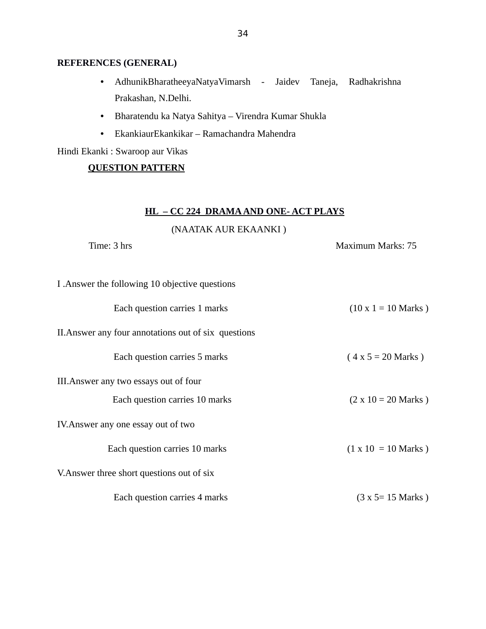# **REFERENCES (GENERAL)**

- AdhunikBharatheeyaNatyaVimarsh Jaidev Taneja, Radhakrishna Prakashan, N.Delhi.
- Bharatendu ka Natya Sahitya Virendra Kumar Shukla
- EkankiaurEkankikar Ramachandra Mahendra

Hindi Ekanki : Swaroop aur Vikas

# **QUESTION PATTERN**

# **HL – CC 224 DRAMA AND ONE- ACT PLAYS**

# (NAATAK AUR EKAANKI )

Time: 3 hrs Maximum Marks: 75

| I .Answer the following 10 objective questions       |                            |
|------------------------------------------------------|----------------------------|
| Each question carries 1 marks                        | $(10 \times 1 = 10$ Marks) |
| II. Answer any four annotations out of six questions |                            |
| Each question carries 5 marks                        | $(4 x 5 = 20 Marks)$       |
| III. Answer any two essays out of four               |                            |
| Each question carries 10 marks                       | $(2 \times 10 = 20$ Marks) |
| IV. Answer any one essay out of two                  |                            |
| Each question carries 10 marks                       | $(1 \times 10 = 10$ Marks) |
| V. Answer three short questions out of six           |                            |
| Each question carries 4 marks                        | (3 x 5= 15 Marks )         |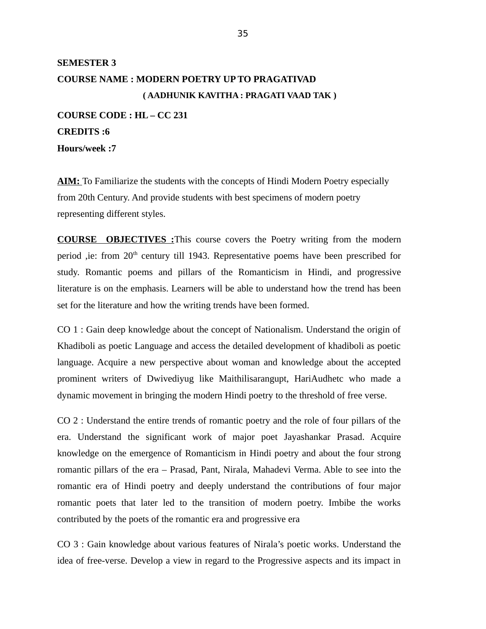# **SEMESTER 3 COURSE NAME : MODERN POETRY UP TO PRAGATIVAD ( AADHUNIK KAVITHA : PRAGATI VAAD TAK ) COURSE CODE : HL – CC 231**

**CREDITS :6 Hours/week :7**

**AIM:** To Familiarize the students with the concepts of Hindi Modern Poetry especially from 20th Century. And provide students with best specimens of modern poetry representing different styles.

**COURSE OBJECTIVES :**This course covers the Poetry writing from the modern period ,ie: from  $20<sup>th</sup>$  century till 1943. Representative poems have been prescribed for study. Romantic poems and pillars of the Romanticism in Hindi, and progressive literature is on the emphasis. Learners will be able to understand how the trend has been set for the literature and how the writing trends have been formed.

CO 1 : Gain deep knowledge about the concept of Nationalism. Understand the origin of Khadiboli as poetic Language and access the detailed development of khadiboli as poetic language. Acquire a new perspective about woman and knowledge about the accepted prominent writers of Dwivediyug like Maithilisarangupt, HariAudhetc who made a dynamic movement in bringing the modern Hindi poetry to the threshold of free verse.

CO 2 : Understand the entire trends of romantic poetry and the role of four pillars of the era. Understand the significant work of major poet Jayashankar Prasad. Acquire knowledge on the emergence of Romanticism in Hindi poetry and about the four strong romantic pillars of the era – Prasad, Pant, Nirala, Mahadevi Verma. Able to see into the romantic era of Hindi poetry and deeply understand the contributions of four major romantic poets that later led to the transition of modern poetry. Imbibe the works contributed by the poets of the romantic era and progressive era

CO 3 : Gain knowledge about various features of Nirala's poetic works. Understand the idea of free-verse. Develop a view in regard to the Progressive aspects and its impact in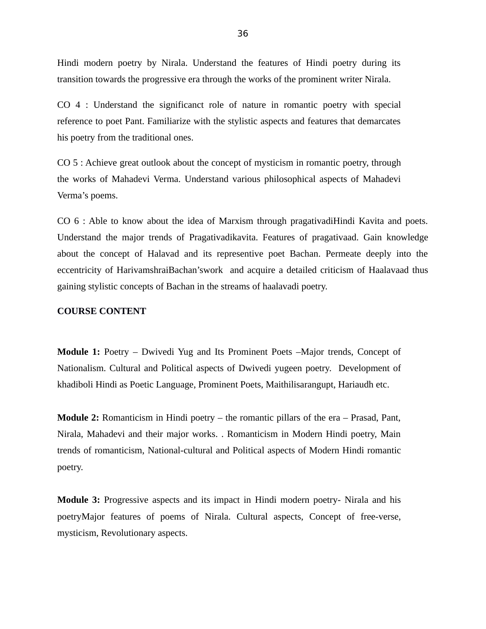Hindi modern poetry by Nirala. Understand the features of Hindi poetry during its transition towards the progressive era through the works of the prominent writer Nirala.

CO 4 : Understand the significanct role of nature in romantic poetry with special reference to poet Pant. Familiarize with the stylistic aspects and features that demarcates his poetry from the traditional ones.

CO 5 : Achieve great outlook about the concept of mysticism in romantic poetry, through the works of Mahadevi Verma. Understand various philosophical aspects of Mahadevi Verma's poems.

CO 6 : Able to know about the idea of Marxism through pragativadiHindi Kavita and poets. Understand the major trends of Pragativadikavita. Features of pragativaad. Gain knowledge about the concept of Halavad and its representive poet Bachan. Permeate deeply into the eccentricity of HarivamshraiBachan'swork and acquire a detailed criticism of Haalavaad thus gaining stylistic concepts of Bachan in the streams of haalavadi poetry.

#### **COURSE CONTENT**

**Module 1:** Poetry – Dwivedi Yug and Its Prominent Poets –Major trends, Concept of Nationalism. Cultural and Political aspects of Dwivedi yugeen poetry. Development of khadiboli Hindi as Poetic Language, Prominent Poets, Maithilisarangupt, Hariaudh etc.

**Module 2:** Romanticism in Hindi poetry – the romantic pillars of the era – Prasad, Pant, Nirala, Mahadevi and their major works. . Romanticism in Modern Hindi poetry, Main trends of romanticism, National-cultural and Political aspects of Modern Hindi romantic poetry.

**Module 3:** Progressive aspects and its impact in Hindi modern poetry- Nirala and his poetryMajor features of poems of Nirala. Cultural aspects, Concept of free-verse, mysticism, Revolutionary aspects.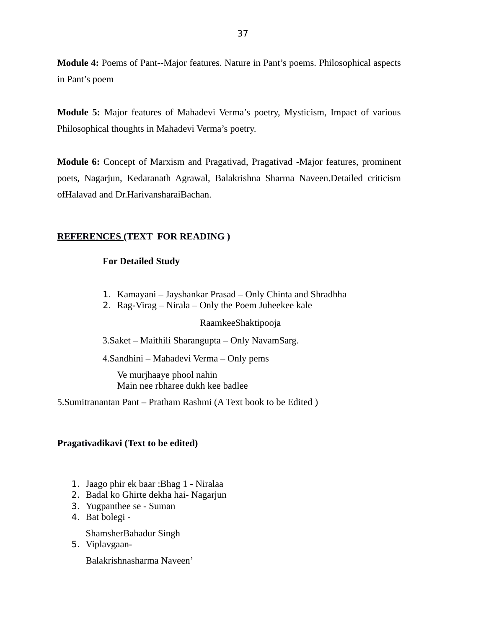**Module 4:** Poems of Pant--Major features. Nature in Pant's poems. Philosophical aspects in Pant's poem

**Module 5:** Major features of Mahadevi Verma's poetry, Mysticism, Impact of various Philosophical thoughts in Mahadevi Verma's poetry.

**Module 6:** Concept of Marxism and Pragativad, Pragativad -Major features, prominent poets, Nagarjun, Kedaranath Agrawal, Balakrishna Sharma Naveen.Detailed criticism ofHalavad and Dr.HarivansharaiBachan.

# **REFERENCES (TEXT FOR READING )**

# **For Detailed Study**

- 1. Kamayani Jayshankar Prasad Only Chinta and Shradhha
- 2. Rag-Virag Nirala Only the Poem Juheekee kale

## RaamkeeShaktipooja

3.Saket – Maithili Sharangupta – Only NavamSarg.

4.Sandhini – Mahadevi Verma – Only pems

Ve murjhaaye phool nahin Main nee rbharee dukh kee badlee

5.Sumitranantan Pant – Pratham Rashmi (A Text book to be Edited )

### **Pragativadikavi (Text to be edited)**

- 1. Jaago phir ek baar :Bhag 1 Niralaa
- 2. Badal ko Ghirte dekha hai- Nagarjun
- 3. Yugpanthee se Suman
- 4. Bat bolegi -

ShamsherBahadur Singh

5. Viplavgaan-

Balakrishnasharma Naveen'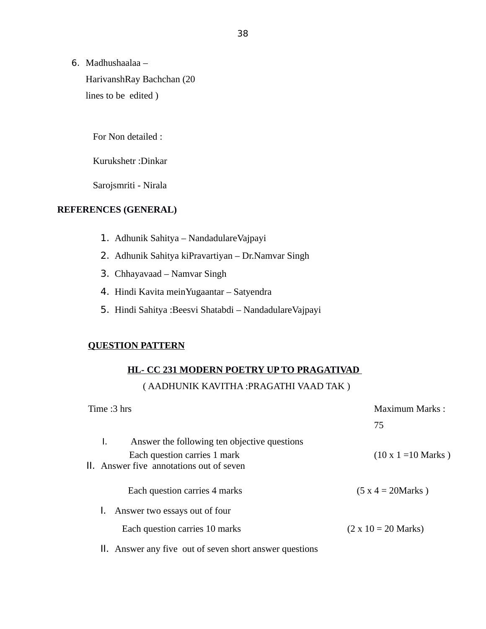6. Madhushaalaa –

HarivanshRay Bachchan (20 lines to be edited )

For Non detailed :

Kurukshetr :Dinkar

Sarojsmriti - Nirala

# **REFERENCES (GENERAL)**

- 1. Adhunik Sahitya NandadulareVajpayi
- 2. Adhunik Sahitya kiPravartiyan Dr.Namvar Singh
- 3. Chhayavaad Namvar Singh
- 4. Hindi Kavita meinYugaantar Satyendra
- 5. Hindi Sahitya :Beesvi Shatabdi NandadulareVajpayi

# **QUESTION PATTERN**

# **HL- CC 231 MODERN POETRY UP TO PRAGATIVAD**

# ( AADHUNIK KAVITHA :PRAGATHI VAAD TAK )

| Time :3 hrs                                                                                                                    | Maximum Marks :            |  |
|--------------------------------------------------------------------------------------------------------------------------------|----------------------------|--|
|                                                                                                                                | 75                         |  |
| I.<br>Answer the following ten objective questions<br>Each question carries 1 mark<br>II. Answer five annotations out of seven | $(10 \times 1 = 10$ Marks) |  |
| Each question carries 4 marks                                                                                                  | $(5 x 4 = 20 Marks)$       |  |
| Answer two essays out of four                                                                                                  |                            |  |
| Each question carries 10 marks                                                                                                 | $(2 \times 10 = 20$ Marks) |  |
| II. Answer any five out of seven short answer questions                                                                        |                            |  |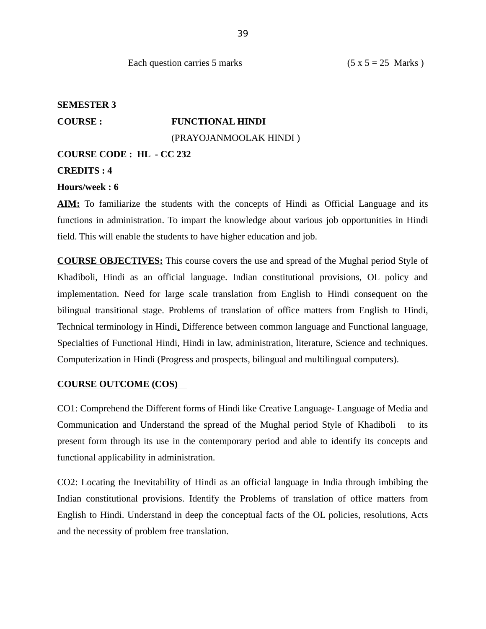### **SEMESTER 3**

# **COURSE : FUNCTIONAL HINDI**

(PRAYOJANMOOLAK HINDI )

#### **COURSE CODE : HL - CC 232**

#### **CREDITS : 4**

#### **Hours/week : 6**

**AIM:** To familiarize the students with the concepts of Hindi as Official Language and its functions in administration. To impart the knowledge about various job opportunities in Hindi field. This will enable the students to have higher education and job.

**COURSE OBJECTIVES:** This course covers the use and spread of the Mughal period Style of Khadiboli, Hindi as an official language. Indian constitutional provisions, OL policy and implementation. Need for large scale translation from English to Hindi consequent on the bilingual transitional stage. Problems of translation of office matters from English to Hindi, Technical terminology in Hindi, Difference between common language and Functional language, Specialties of Functional Hindi, Hindi in law, administration, literature, Science and techniques. Computerization in Hindi (Progress and prospects, bilingual and multilingual computers).

### **COURSE OUTCOME (COS)**

CO1: Comprehend the Different forms of Hindi like Creative Language- Language of Media and Communication and Understand the spread of the Mughal period Style of Khadiboli to its present form through its use in the contemporary period and able to identify its concepts and functional applicability in administration.

CO2: Locating the Inevitability of Hindi as an official language in India through imbibing the Indian constitutional provisions. Identify the Problems of translation of office matters from English to Hindi. Understand in deep the conceptual facts of the OL policies, resolutions, Acts and the necessity of problem free translation.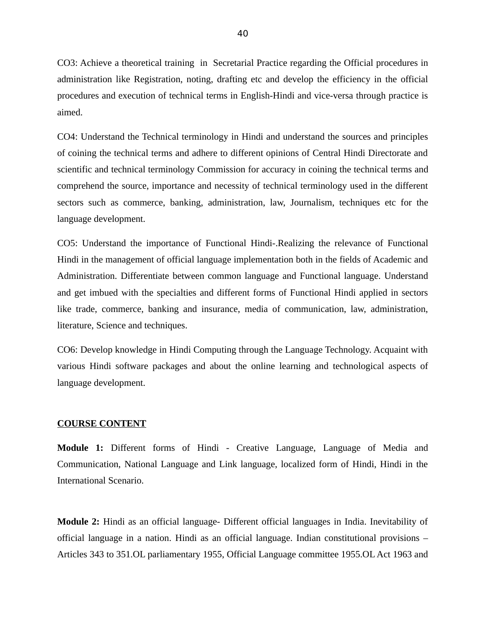CO3: Achieve a theoretical training in Secretarial Practice regarding the Official procedures in administration like Registration, noting, drafting etc and develop the efficiency in the official procedures and execution of technical terms in English-Hindi and vice-versa through practice is aimed.

CO4: Understand the Technical terminology in Hindi and understand the sources and principles of coining the technical terms and adhere to different opinions of Central Hindi Directorate and scientific and technical terminology Commission for accuracy in coining the technical terms and comprehend the source, importance and necessity of technical terminology used in the different sectors such as commerce, banking, administration, law, Journalism, techniques etc for the language development.

CO5: Understand the importance of Functional Hindi-.Realizing the relevance of Functional Hindi in the management of official language implementation both in the fields of Academic and Administration. Differentiate between common language and Functional language. Understand and get imbued with the specialties and different forms of Functional Hindi applied in sectors like trade, commerce, banking and insurance, media of communication, law, administration, literature, Science and techniques.

CO6: Develop knowledge in Hindi Computing through the Language Technology. Acquaint with various Hindi software packages and about the online learning and technological aspects of language development.

#### **COURSE CONTENT**

**Module 1:** Different forms of Hindi - Creative Language, Language of Media and Communication, National Language and Link language, localized form of Hindi, Hindi in the International Scenario.

**Module 2:** Hindi as an official language- Different official languages in India. Inevitability of official language in a nation. Hindi as an official language. Indian constitutional provisions – Articles 343 to 351.OL parliamentary 1955, Official Language committee 1955.OL Act 1963 and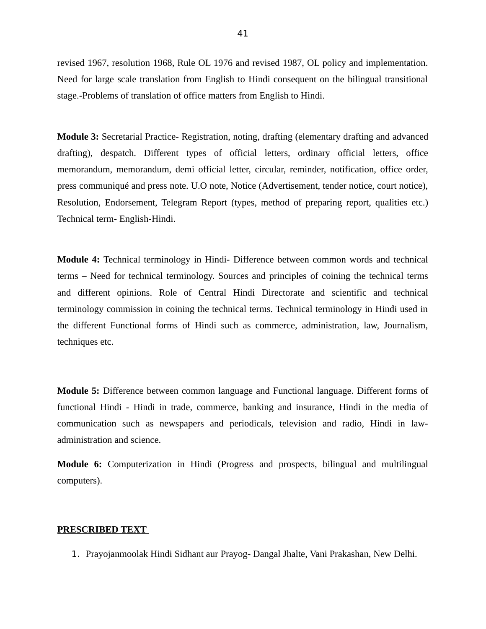revised 1967, resolution 1968, Rule OL 1976 and revised 1987, OL policy and implementation. Need for large scale translation from English to Hindi consequent on the bilingual transitional stage.-Problems of translation of office matters from English to Hindi.

**Module 3:** Secretarial Practice- Registration, noting, drafting (elementary drafting and advanced drafting), despatch. Different types of official letters, ordinary official letters, office memorandum, memorandum, demi official letter, circular, reminder, notification, office order, press communiqué and press note. U.O note, Notice (Advertisement, tender notice, court notice), Resolution, Endorsement, Telegram Report (types, method of preparing report, qualities etc.) Technical term- English-Hindi.

**Module 4:** Technical terminology in Hindi- Difference between common words and technical terms – Need for technical terminology. Sources and principles of coining the technical terms and different opinions. Role of Central Hindi Directorate and scientific and technical terminology commission in coining the technical terms. Technical terminology in Hindi used in the different Functional forms of Hindi such as commerce, administration, law, Journalism, techniques etc.

**Module 5:** Difference between common language and Functional language. Different forms of functional Hindi - Hindi in trade, commerce, banking and insurance, Hindi in the media of communication such as newspapers and periodicals, television and radio, Hindi in lawadministration and science.

**Module 6:** Computerization in Hindi (Progress and prospects, bilingual and multilingual computers).

#### **PRESCRIBED TEXT**

1. Prayojanmoolak Hindi Sidhant aur Prayog- Dangal Jhalte, Vani Prakashan, New Delhi.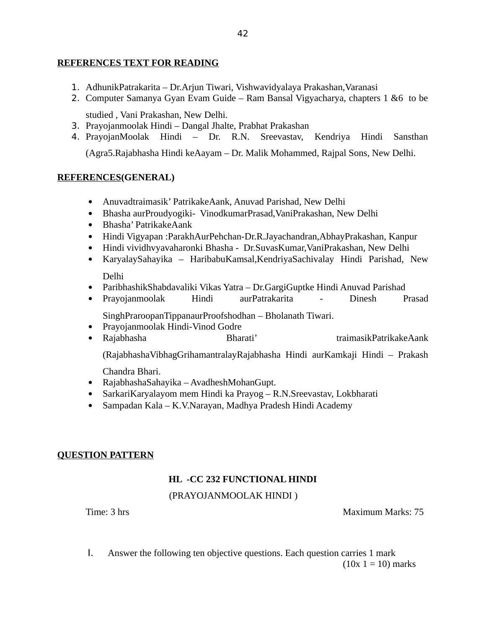### **REFERENCES TEXT FOR READING**

- 1. AdhunikPatrakarita Dr.Arjun Tiwari, Vishwavidyalaya Prakashan,Varanasi
- 2. Computer Samanya Gyan Evam Guide Ram Bansal Vigyacharya, chapters 1 &6 to be

studied , Vani Prakashan, New Delhi.

- 3. Prayojanmoolak Hindi Dangal Jhalte, Prabhat Prakashan
- 4. PrayojanMoolak Hindi Dr. R.N. Sreevastav, Kendriya Hindi Sansthan

(Agra5.Rajabhasha Hindi keAayam – Dr. Malik Mohammed, Rajpal Sons, New Delhi.

### **REFERENCES(GENERAL)**

- Anuvadtraimasik' PatrikakeAank, Anuvad Parishad, New Delhi
- Bhasha aurProudyogiki- VinodkumarPrasad,VaniPrakashan, New Delhi
- Bhasha' PatrikakeAank
- Hindi Vigyapan :ParakhAurPehchan-Dr.R.Jayachandran,AbhayPrakashan, Kanpur
- Hindi vividhvyavaharonki Bhasha Dr.SuvasKumar,VaniPrakashan, New Delhi
- KaryalaySahayika HaribabuKamsal,KendriyaSachivalay Hindi Parishad, New Delhi
- ParibhashikShabdavaliki Vikas Yatra Dr.GargiGuptke Hindi Anuvad Parishad
- Prayojanmoolak Hindi aurPatrakarita Dinesh Prasad

SinghPraroopanTippanaurProofshodhan – Bholanath Tiwari.

- Prayojanmoolak Hindi-Vinod Godre
- Rajabhasha Bharati' traimasikPatrikakeAank

(RajabhashaVibhagGrihamantralayRajabhasha Hindi aurKamkaji Hindi – Prakash

Chandra Bhari.

- RajabhashaSahayika AvadheshMohanGupt.
- SarkariKaryalayom mem Hindi ka Prayog R.N.Sreevastav, Lokbharati
- Sampadan Kala K.V.Narayan, Madhya Pradesh Hindi Academy

### **QUESTION PATTERN**

# **HL -CC 232 FUNCTIONAL HINDI**

# (PRAYOJANMOOLAK HINDI )

Time: 3 hrs Maximum Marks: 75

I. Answer the following ten objective questions. Each question carries 1 mark  $(10x 1 = 10)$  marks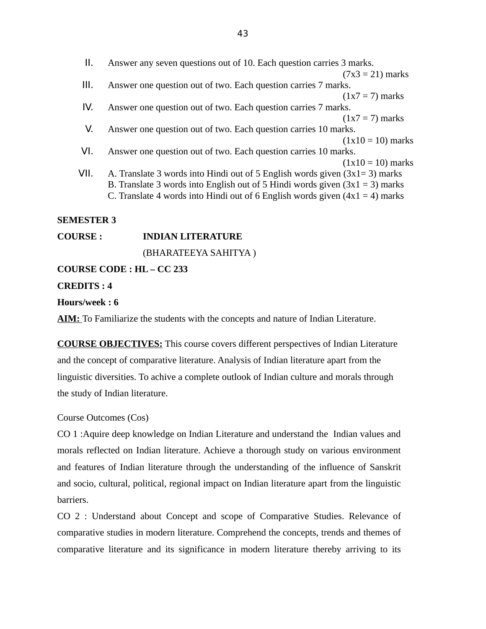| Ш.   | Answer any seven questions out of 10. Each question carries 3 marks.           |
|------|--------------------------------------------------------------------------------|
|      | $(7x3 = 21)$ marks                                                             |
| III. | Answer one question out of two. Each question carries 7 marks.                 |
|      | $(1x7 = 7)$ marks                                                              |
| IV.  | Answer one question out of two. Each question carries 7 marks.                 |
|      | $(1x7 = 7)$ marks                                                              |
| V.   | Answer one question out of two. Each question carries 10 marks.                |
|      | $(1x10 = 10)$ marks                                                            |
| VI.  | Answer one question out of two. Each question carries 10 marks.                |
|      | $(1x10 = 10)$ marks                                                            |
| VII. | A. Translate 3 words into Hindi out of 5 English words given $(3x1=3)$ marks   |
|      | B. Translate 3 words into English out of 5 Hindi words given $(3x1 = 3)$ marks |
|      | C. Translate 4 words into Hindi out of 6 English words given $(4x1 = 4)$ marks |
|      |                                                                                |
|      |                                                                                |

## **SEMESTER 3**

| <b>COURSE :</b>                  | <b>INDIAN LITERATURE</b> |  |
|----------------------------------|--------------------------|--|
|                                  | (BHARATEEYA SAHITYA)     |  |
| <b>COURSE CODE : HL – CC 233</b> |                          |  |

## **CREDITS : 4**

#### **Hours/week : 6**

**AIM:** To Familiarize the students with the concepts and nature of Indian Literature.

**COURSE OBJECTIVES:** This course covers different perspectives of Indian Literature and the concept of comparative literature. Analysis of Indian literature apart from the linguistic diversities. To achive a complete outlook of Indian culture and morals through the study of Indian literature.

### Course Outcomes (Cos)

CO 1 :Aquire deep knowledge on Indian Literature and understand the Indian values and morals reflected on Indian literature. Achieve a thorough study on various environment and features of Indian literature through the understanding of the influence of Sanskrit and socio, cultural, political, regional impact on Indian literature apart from the linguistic barriers.

CO 2 : Understand about Concept and scope of Comparative Studies. Relevance of comparative studies in modern literature. Comprehend the concepts, trends and themes of comparative literature and its significance in modern literature thereby arriving to its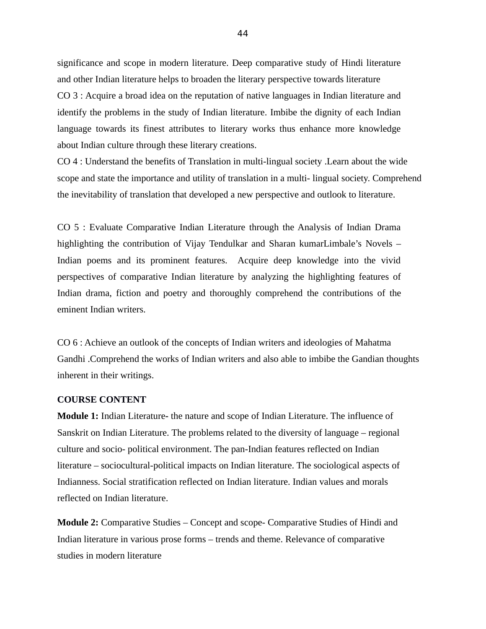significance and scope in modern literature. Deep comparative study of Hindi literature and other Indian literature helps to broaden the literary perspective towards literature CO 3 : Acquire a broad idea on the reputation of native languages in Indian literature and identify the problems in the study of Indian literature. Imbibe the dignity of each Indian language towards its finest attributes to literary works thus enhance more knowledge about Indian culture through these literary creations.

CO 4 : Understand the benefits of Translation in multi-lingual society .Learn about the wide scope and state the importance and utility of translation in a multi- lingual society. Comprehend the inevitability of translation that developed a new perspective and outlook to literature.

CO 5 : Evaluate Comparative Indian Literature through the Analysis of Indian Drama highlighting the contribution of Vijay Tendulkar and Sharan kumarLimbale's Novels – Indian poems and its prominent features. Acquire deep knowledge into the vivid perspectives of comparative Indian literature by analyzing the highlighting features of Indian drama, fiction and poetry and thoroughly comprehend the contributions of the eminent Indian writers.

CO 6 : Achieve an outlook of the concepts of Indian writers and ideologies of Mahatma Gandhi .Comprehend the works of Indian writers and also able to imbibe the Gandian thoughts inherent in their writings.

#### **COURSE CONTENT**

**Module 1:** Indian Literature**-** the nature and scope of Indian Literature. The influence of Sanskrit on Indian Literature. The problems related to the diversity of language – regional culture and socio- political environment. The pan-Indian features reflected on Indian literature – sociocultural-political impacts on Indian literature. The sociological aspects of Indianness. Social stratification reflected on Indian literature. Indian values and morals reflected on Indian literature.

**Module 2:** Comparative Studies – Concept and scope- Comparative Studies of Hindi and Indian literature in various prose forms – trends and theme. Relevance of comparative studies in modern literature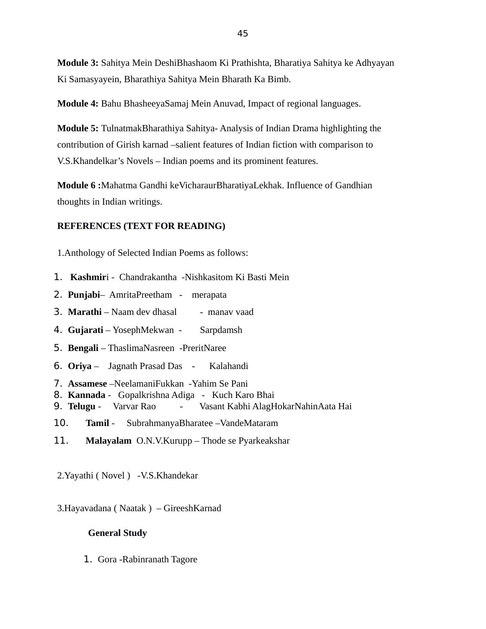**Module 3:** Sahitya Mein DeshiBhashaom Ki Prathishta, Bharatiya Sahitya ke Adhyayan Ki Samasyayein, Bharathiya Sahitya Mein Bharath Ka Bimb.

**Module 4:** Bahu BhasheeyaSamaj Mein Anuvad, Impact of regional languages.

**Module 5:** TulnatmakBharathiya Sahitya- Analysis of Indian Drama highlighting the contribution of Girish karnad –salient features of Indian fiction with comparison to V.S.Khandelkar's Novels – Indian poems and its prominent features.

**Module 6 :**Mahatma Gandhi keVicharaurBharatiyaLekhak. Influence of Gandhian thoughts in Indian writings.

#### **REFERENCES (TEXT FOR READING)**

1.Anthology of Selected Indian Poems as follows:

- 1. **Kashmir**i Chandrakantha -Nishkasitom Ki Basti Mein
- 2. **Punjabi** AmritaPreetham merapata
- **3. Marathi** Naam dev dhasal manav vaad
- 4. **Gujarati** YosephMekwan Sarpdamsh
- 5. **Bengali**  ThaslimaNasreen -PreritNaree
- 6. **Oriya**  Jagnath Prasad Das Kalahandi
- 7. **Assamese** –NeelamaniFukkan -Yahim Se Pani
- 8. **Kannada** Gopalkrishna Adiga Kuch Karo Bhai
- 9. **Telugu** Varvar Rao Vasant Kabhi AlagHokarNahinAata Hai
- 10. **Tamil**  SubrahmanyaBharatee –VandeMataram
- 11. **Malayalam** O.N.V.Kurupp Thode se Pyarkeakshar
- 2.Yayathi ( Novel ) -V.S.Khandekar
- 3.Hayavadana ( Naatak ) GireeshKarnad

#### **General Study**

1. Gora -Rabinranath Tagore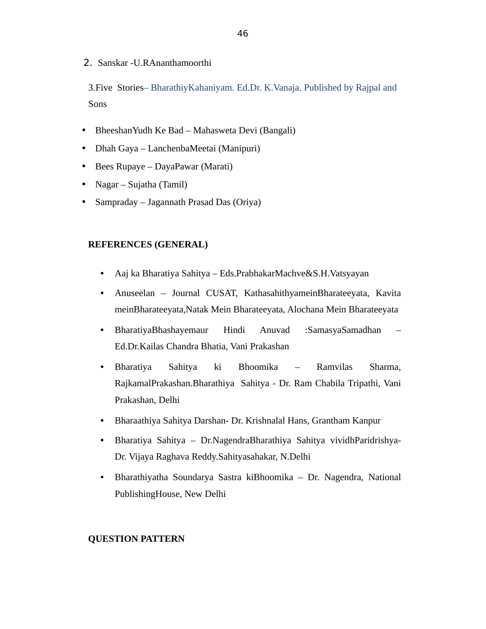2. Sanskar -U.RAnanthamoorthi

3.Five Stories– BharathiyKahaniyam. Ed.Dr. K.Vanaja. Published by Rajpal and Sons

- BheeshanYudh Ke Bad Mahasweta Devi (Bangali)
- Dhah Gaya LanchenbaMeetai (Manipuri)
- Bees Rupaye DayaPawar (Marati)
- Nagar Sujatha (Tamil)
- Sampraday Jagannath Prasad Das (Oriya)

## **REFERENCES (GENERAL)**

- Aaj ka Bharatiya Sahitya Eds.PrabhakarMachve&S.H.Vatsyayan
- Anuseelan Journal CUSAT, KathasahithyameinBharateeyata, Kavita meinBharateeyata,Natak Mein Bharateeyata, Alochana Mein Bharateeyata
- BharatiyaBhashayemaur Hindi Anuvad :SamasyaSamadhan Ed.Dr.Kailas Chandra Bhatia, Vani Prakashan
- Bharatiya Sahitya ki Bhoomika Ramvilas Sharma, RajkamalPrakashan.Bharathiya Sahitya - Dr. Ram Chabila Tripathi, Vani Prakashan, Delhi
- Bharaathiya Sahitya Darshan- Dr. Krishnalal Hans, Grantham Kanpur
- Bharatiya Sahitya Dr.NagendraBharathiya Sahitya vividhParidrishya-Dr. Vijaya Raghava Reddy.Sahityasahakar, N.Delhi
- Bharathiyatha Soundarya Sastra kiBhoomika Dr. Nagendra, National PublishingHouse, New Delhi

#### **QUESTION PATTERN**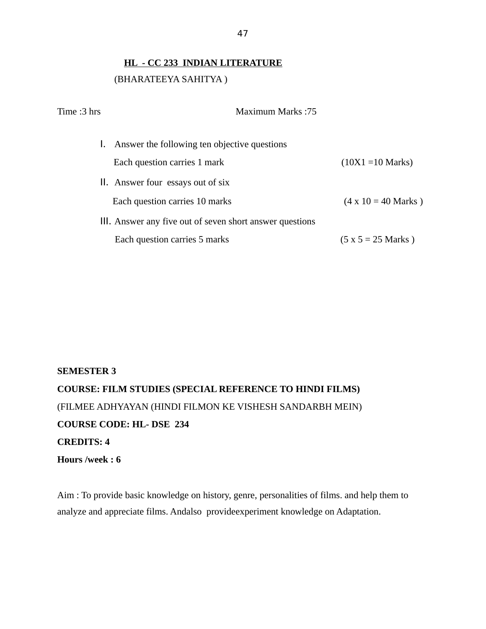# **HL - CC 233 INDIAN LITERATURE** (BHARATEEYA SAHITYA )

| Time :3 hrs | <b>Maximum Marks:75</b>                                  |                            |
|-------------|----------------------------------------------------------|----------------------------|
|             | 1. Answer the following ten objective questions          |                            |
|             | Each question carries 1 mark                             | $(10X1 = 10$ Marks)        |
|             | II. Answer four essays out of six                        |                            |
|             | Each question carries 10 marks                           | $(4 \times 10 = 40$ Marks) |
|             | III. Answer any five out of seven short answer questions |                            |
|             | Each question carries 5 marks                            | $(5 x 5 = 25 Marks)$       |

# **SEMESTER 3 COURSE: FILM STUDIES (SPECIAL REFERENCE TO HINDI FILMS)**  (FILMEE ADHYAYAN (HINDI FILMON KE VISHESH SANDARBH MEIN) **COURSE CODE: HL- DSE 234 CREDITS: 4 Hours /week : 6**

Aim : To provide basic knowledge on history, genre, personalities of films. and help them to analyze and appreciate films. Andalso provideexperiment knowledge on Adaptation.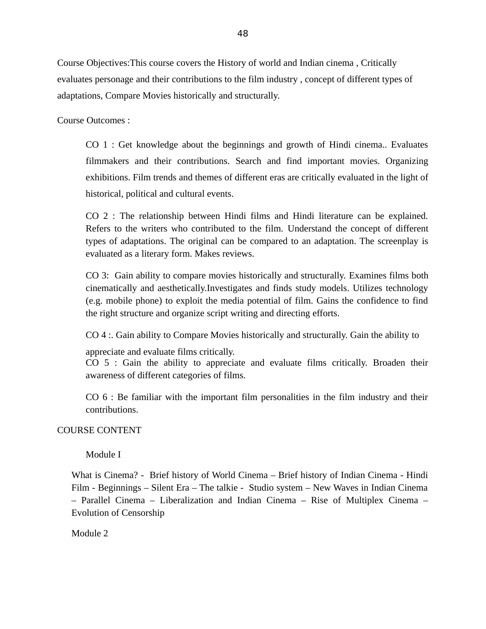Course Objectives:This course covers the History of world and Indian cinema , Critically evaluates personage and their contributions to the film industry , concept of different types of adaptations, Compare Movies historically and structurally.

Course Outcomes :

CO 1 : Get knowledge about the beginnings and growth of Hindi cinema.. Evaluates filmmakers and their contributions. Search and find important movies. Organizing exhibitions. Film trends and themes of different eras are critically evaluated in the light of historical, political and cultural events.

CO 2 : The relationship between Hindi films and Hindi literature can be explained. Refers to the writers who contributed to the film. Understand the concept of different types of adaptations. The original can be compared to an adaptation. The screenplay is evaluated as a literary form. Makes reviews.

CO 3: Gain ability to compare movies historically and structurally. Examines films both cinematically and aesthetically.Investigates and finds study models. Utilizes technology (e.g. mobile phone) to exploit the media potential of film. Gains the confidence to find the right structure and organize script writing and directing efforts.

CO 4 :. Gain ability to Compare Movies historically and structurally. Gain the ability to

appreciate and evaluate films critically.

CO 5 : Gain the ability to appreciate and evaluate films critically. Broaden their awareness of different categories of films.

CO 6 : Be familiar with the important film personalities in the film industry and their contributions.

### COURSE CONTENT

Module I

What is Cinema? - Brief history of World Cinema – Brief history of Indian Cinema - Hindi Film - Beginnings – Silent Era – The talkie - Studio system – New Waves in Indian Cinema – Parallel Cinema – Liberalization and Indian Cinema – Rise of Multiplex Cinema – Evolution of Censorship

Module 2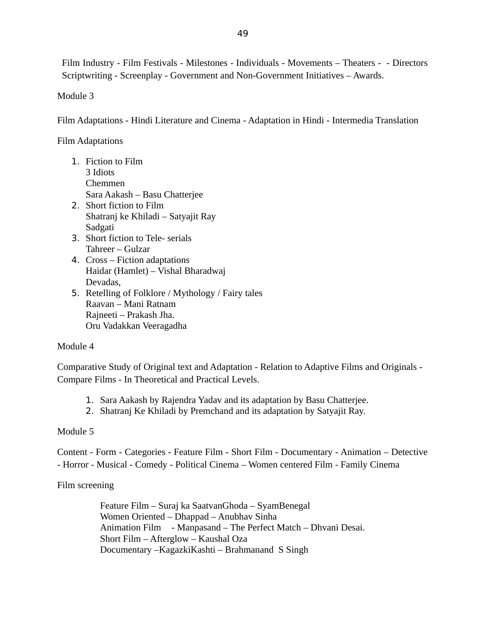Film Industry - Film Festivals - Milestones - Individuals - Movements – Theaters - - Directors Scriptwriting - Screenplay - Government and Non-Government Initiatives – Awards.

Module 3

Film Adaptations - Hindi Literature and Cinema - Adaptation in Hindi - Intermedia Translation

Film Adaptations

- 1. Fiction to Film 3 Idiots Chemmen Sara Aakash – Basu Chatterjee 2. Short fiction to Film Shatranj ke Khiladi – Satyajit Ray Sadgati
- 3. Short fiction to Tele- serials Tahreer – Gulzar
- 4. Cross Fiction adaptations Haidar (Hamlet) – Vishal Bharadwaj Devadas,
- 5. Retelling of Folklore / Mythology / Fairy tales Raavan – Mani Ratnam Rajneeti – Prakash Jha. Oru Vadakkan Veeragadha

# Module 4

Comparative Study of Original text and Adaptation - Relation to Adaptive Films and Originals - Compare Films - In Theoretical and Practical Levels.

- 1. Sara Aakash by Rajendra Yadav and its adaptation by Basu Chatterjee.
- 2. Shatranj Ke Khiladi by Premchand and its adaptation by Satyajit Ray.

# Module 5

Content - Form - Categories - Feature Film - Short Film - Documentary - Animation – Detective - Horror - Musical - Comedy - Political Cinema – Women centered Film - Family Cinema

# Film screening

Feature Film – Suraj ka SaatvanGhoda – SyamBenegal Women Oriented – Dhappad – Anubhav Sinha Animation Film - Manpasand – The Perfect Match – Dhvani Desai. Short Film – Afterglow – Kaushal Oza Documentary –KagazkiKashti – Brahmanand S Singh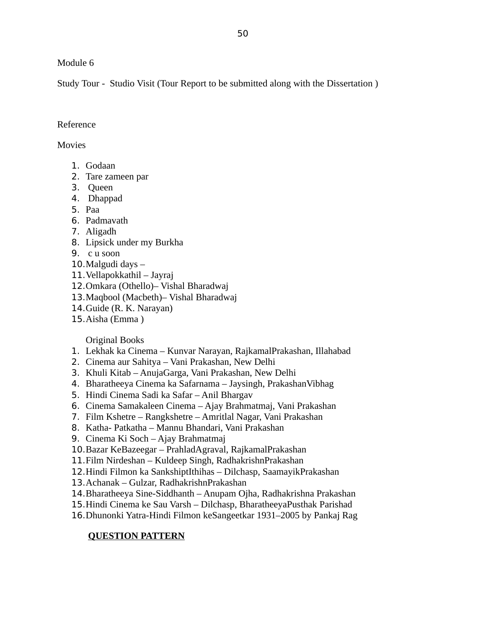Module 6

Study Tour - Studio Visit (Tour Report to be submitted along with the Dissertation )

# Reference

# **Movies**

- 1. Godaan
- 2. Tare zameen par
- 3. Queen
- 4. Dhappad
- 5. Paa
- 6. Padmavath
- 7. Aligadh
- 8. Lipsick under my Burkha
- 9. c u soon
- 10.Malgudi days –
- 11.Vellapokkathil Jayraj
- 12.Omkara (Othello)– Vishal Bharadwaj
- 13.Maqbool (Macbeth)– Vishal Bharadwaj
- 14.Guide (R. K. Narayan)
- 15.Aisha (Emma )

# Original Books

- 1. Lekhak ka Cinema Kunvar Narayan, RajkamalPrakashan, Illahabad
- 2. Cinema aur Sahitya Vani Prakashan, New Delhi
- 3. Khuli Kitab AnujaGarga, Vani Prakashan, New Delhi
- 4. Bharatheeya Cinema ka Safarnama Jaysingh, PrakashanVibhag
- 5. Hindi Cinema Sadi ka Safar Anil Bhargav
- 6. Cinema Samakaleen Cinema Ajay Brahmatmaj, Vani Prakashan
- 7. Film Kshetre Rangkshetre Amritlal Nagar, Vani Prakashan
- 8. Katha- Patkatha Mannu Bhandari, Vani Prakashan
- 9. Cinema Ki Soch Ajay Brahmatmaj
- 10.Bazar KeBazeegar PrahladAgraval, RajkamalPrakashan
- 11.Film Nirdeshan Kuldeep Singh, RadhakrishnPrakashan
- 12.Hindi Filmon ka SankshiptIthihas Dilchasp, SaamayikPrakashan
- 13.Achanak Gulzar, RadhakrishnPrakashan
- 14.Bharatheeya Sine-Siddhanth Anupam Ojha, Radhakrishna Prakashan
- 15.Hindi Cinema ke Sau Varsh Dilchasp, BharatheeyaPusthak Parishad
- 16.Dhunonki Yatra-Hindi Filmon keSangeetkar 1931–2005 by Pankaj Rag

# **QUESTION PATTERN**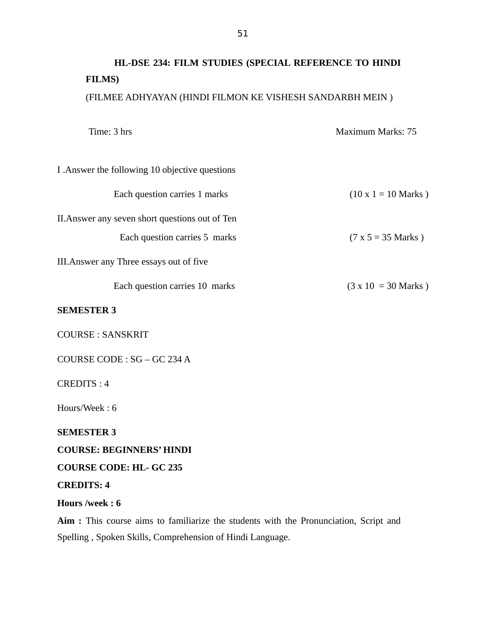# **HL-DSE 234: FILM STUDIES (SPECIAL REFERENCE TO HINDI FILMS)** (FILMEE ADHYAYAN (HINDI FILMON KE VISHESH SANDARBH MEIN )

Time: 3 hrs Maximum Marks: 75 I .Answer the following 10 objective questions Each question carries 1 marks  $(10 \times 1 = 10 \text{ Marks})$ II.Answer any seven short questions out of Ten Each question carries 5 marks ( $7 \times 5 = 35$  Marks) III.Answer any Three essays out of five Each question carries 10 marks ( $3 \times 10 = 30$  Marks) **SEMESTER 3** COURSE : SANSKRIT COURSE CODE : SG – GC 234 A CREDITS : 4 Hours/Week : 6 **SEMESTER 3 COURSE: BEGINNERS' HINDI COURSE CODE: HL- GC 235 CREDITS: 4 Hours /week : 6**

**Aim :** This course aims to familiarize the students with the Pronunciation, Script and Spelling , Spoken Skills, Comprehension of Hindi Language.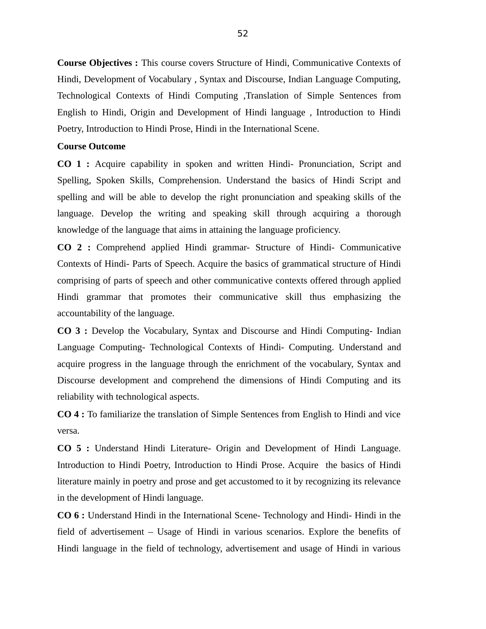**Course Objectives :** This course covers Structure of Hindi, Communicative Contexts of Hindi, Development of Vocabulary , Syntax and Discourse, Indian Language Computing, Technological Contexts of Hindi Computing ,Translation of Simple Sentences from English to Hindi, Origin and Development of Hindi language , Introduction to Hindi Poetry, Introduction to Hindi Prose, Hindi in the International Scene.

#### **Course Outcome**

**CO 1 :** Acquire capability in spoken and written Hindi- Pronunciation, Script and Spelling, Spoken Skills, Comprehension. Understand the basics of Hindi Script and spelling and will be able to develop the right pronunciation and speaking skills of the language. Develop the writing and speaking skill through acquiring a thorough knowledge of the language that aims in attaining the language proficiency.

**CO 2 :** Comprehend applied Hindi grammar- Structure of Hindi- Communicative Contexts of Hindi- Parts of Speech. Acquire the basics of grammatical structure of Hindi comprising of parts of speech and other communicative contexts offered through applied Hindi grammar that promotes their communicative skill thus emphasizing the accountability of the language.

**CO 3 :** Develop the Vocabulary, Syntax and Discourse and Hindi Computing- Indian Language Computing- Technological Contexts of Hindi- Computing. Understand and acquire progress in the language through the enrichment of the vocabulary, Syntax and Discourse development and comprehend the dimensions of Hindi Computing and its reliability with technological aspects.

**CO 4 :** To familiarize the translation of Simple Sentences from English to Hindi and vice versa.

**CO 5 :** Understand Hindi Literature- Origin and Development of Hindi Language. Introduction to Hindi Poetry, Introduction to Hindi Prose. Acquire the basics of Hindi literature mainly in poetry and prose and get accustomed to it by recognizing its relevance in the development of Hindi language.

**CO 6 :** Understand Hindi in the International Scene- Technology and Hindi- Hindi in the field of advertisement – Usage of Hindi in various scenarios. Explore the benefits of Hindi language in the field of technology, advertisement and usage of Hindi in various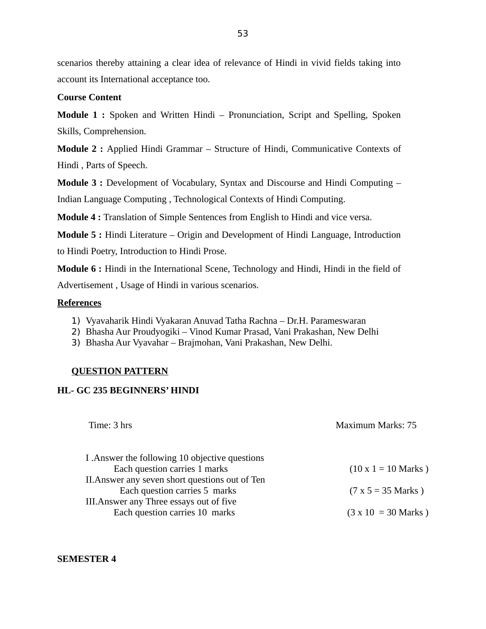53

scenarios thereby attaining a clear idea of relevance of Hindi in vivid fields taking into account its International acceptance too.

### **Course Content**

**Module 1 :** Spoken and Written Hindi – Pronunciation, Script and Spelling, Spoken Skills, Comprehension.

**Module 2 :** Applied Hindi Grammar – Structure of Hindi, Communicative Contexts of Hindi , Parts of Speech.

**Module 3 :** Development of Vocabulary, Syntax and Discourse and Hindi Computing – Indian Language Computing , Technological Contexts of Hindi Computing.

**Module 4 :** Translation of Simple Sentences from English to Hindi and vice versa.

**Module 5 :** Hindi Literature – Origin and Development of Hindi Language, Introduction to Hindi Poetry, Introduction to Hindi Prose.

**Module 6 :** Hindi in the International Scene, Technology and Hindi, Hindi in the field of Advertisement , Usage of Hindi in various scenarios.

### **References**

- 1) Vyavaharik Hindi Vyakaran Anuvad Tatha Rachna Dr.H. Parameswaran
- 2) Bhasha Aur Proudyogiki Vinod Kumar Prasad, Vani Prakashan, New Delhi
- 3) Bhasha Aur Vyavahar Brajmohan, Vani Prakashan, New Delhi.

# **QUESTION PATTERN**

### **HL- GC 235 BEGINNERS' HINDI**

| Time: 3 hrs                                     | Maximum Marks: 75          |
|-------------------------------------------------|----------------------------|
|                                                 |                            |
| I . Answer the following 10 objective questions |                            |
| Each question carries 1 marks                   | $(10 \times 1 = 10$ Marks) |
| II. Answer any seven short questions out of Ten |                            |
| Each question carries 5 marks                   | $(7 \times 5 = 35$ Marks)  |
| III. Answer any Three essays out of five        |                            |
| Each question carries 10 marks                  | $(3 \times 10 = 30$ Marks) |

**SEMESTER 4**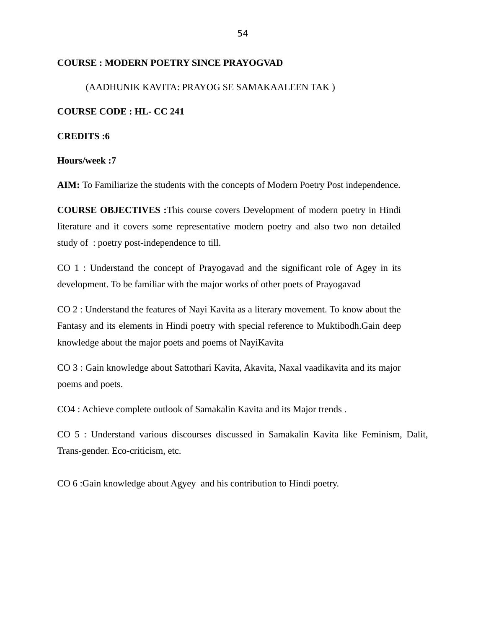#### **COURSE : MODERN POETRY SINCE PRAYOGVAD**

# (AADHUNIK KAVITA: PRAYOG SE SAMAKAALEEN TAK )

#### **COURSE CODE : HL- CC 241**

**CREDITS :6**

**Hours/week :7**

AIM: To Familiarize the students with the concepts of Modern Poetry Post independence.

**COURSE OBJECTIVES :**This course covers Development of modern poetry in Hindi literature and it covers some representative modern poetry and also two non detailed study of : poetry post-independence to till.

CO 1 : Understand the concept of Prayogavad and the significant role of Agey in its development. To be familiar with the major works of other poets of Prayogavad

CO 2 : Understand the features of Nayi Kavita as a literary movement. To know about the Fantasy and its elements in Hindi poetry with special reference to Muktibodh.Gain deep knowledge about the major poets and poems of NayiKavita

CO 3 : Gain knowledge about Sattothari Kavita, Akavita, Naxal vaadikavita and its major poems and poets.

CO4 : Achieve complete outlook of Samakalin Kavita and its Major trends .

CO 5 : Understand various discourses discussed in Samakalin Kavita like Feminism, Dalit, Trans-gender. Eco-criticism, etc.

CO 6 :Gain knowledge about Agyey and his contribution to Hindi poetry.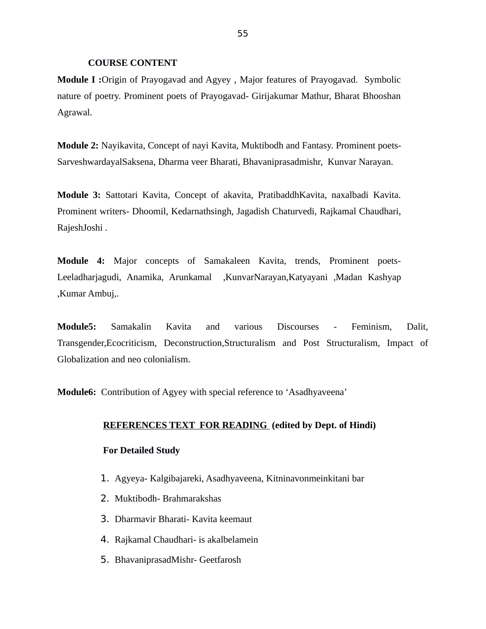#### **COURSE CONTENT**

**Module I :**Origin of Prayogavad and Agyey , Major features of Prayogavad. Symbolic nature of poetry. Prominent poets of Prayogavad- Girijakumar Mathur, Bharat Bhooshan Agrawal.

**Module 2:** Nayikavita, Concept of nayi Kavita, Muktibodh and Fantasy. Prominent poets-SarveshwardayalSaksena, Dharma veer Bharati, Bhavaniprasadmishr, Kunvar Narayan.

**Module 3:** Sattotari Kavita, Concept of akavita, PratibaddhKavita, naxalbadi Kavita. Prominent writers- Dhoomil, Kedarnathsingh, Jagadish Chaturvedi, Rajkamal Chaudhari, RajeshJoshi .

**Module 4:** Major concepts of Samakaleen Kavita, trends, Prominent poets-Leeladharjagudi, Anamika, Arunkamal ,KunvarNarayan,Katyayani ,Madan Kashyap ,Kumar Ambuj,.

**Module5:** Samakalin Kavita and various Discourses - Feminism, Dalit, Transgender,Ecocriticism, Deconstruction,Structuralism and Post Structuralism, Impact of Globalization and neo colonialism.

**Module6:** Contribution of Agyey with special reference to 'Asadhyaveena'

#### **REFERENCES TEXT FOR READING (edited by Dept. of Hindi)**

#### **For Detailed Study**

- 1. Agyeya- Kalgibajareki, Asadhyaveena, Kitninavonmeinkitani bar
- 2. Muktibodh- Brahmarakshas
- 3. Dharmavir Bharati- Kavita keemaut
- 4. Rajkamal Chaudhari- is akalbelamein
- 5. BhavaniprasadMishr- Geetfarosh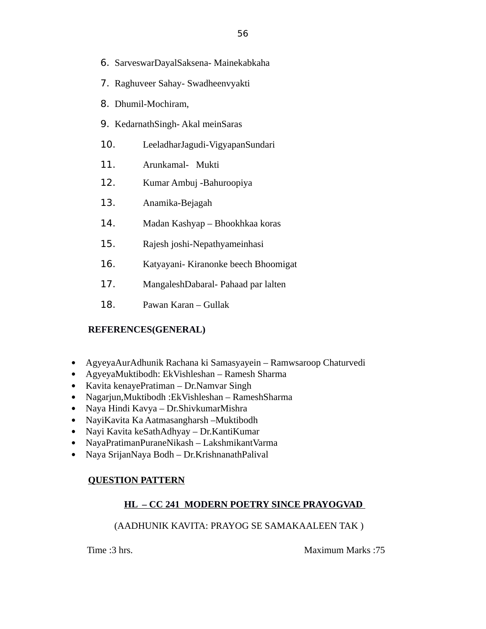- 6. SarveswarDayalSaksena- Mainekabkaha
- 7. Raghuveer Sahay- Swadheenvyakti
- 8. Dhumil-Mochiram,
- 9. KedarnathSingh- Akal meinSaras
- 10. LeeladharJagudi-VigyapanSundari
- 11. Arunkamal- Mukti
- 12. Kumar Ambuj -Bahuroopiya
- 13. Anamika-Bejagah
- 14. Madan Kashyap Bhookhkaa koras
- 15. Rajesh joshi-Nepathyameinhasi
- 16. Katyayani- Kiranonke beech Bhoomigat
- 17. MangaleshDabaral- Pahaad par lalten
- 18. Pawan Karan Gullak

### **REFERENCES(GENERAL)**

- AgyeyaAurAdhunik Rachana ki Samasyayein Ramwsaroop Chaturvedi
- AgyeyaMuktibodh: EkVishleshan Ramesh Sharma
- Kavita kenayePratiman Dr.Namvar Singh
- Nagarjun,Muktibodh :EkVishleshan RameshSharma
- Naya Hindi Kavya Dr.ShivkumarMishra
- NayiKavita Ka Aatmasangharsh –Muktibodh
- Nayi Kavita keSathAdhyay Dr.KantiKumar
- NayaPratimanPuraneNikash LakshmikantVarma
- Naya SrijanNaya Bodh Dr.KrishnanathPalival

# **QUESTION PATTERN**

# **HL – CC 241 MODERN POETRY SINCE PRAYOGVAD**

# (AADHUNIK KAVITA: PRAYOG SE SAMAKAALEEN TAK )

Time :3 hrs. Maximum Marks :75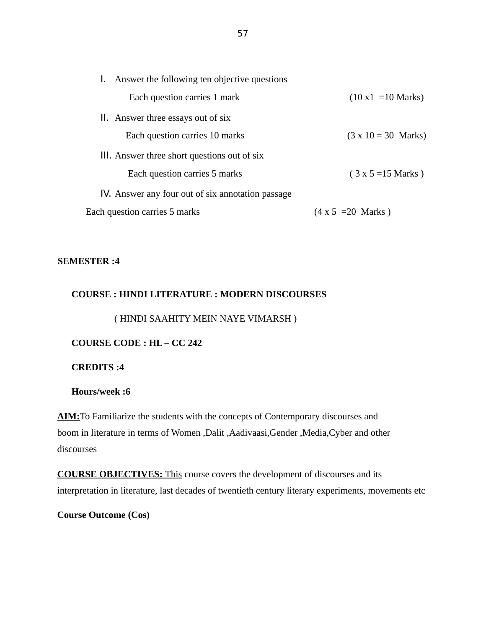| 1. Answer the following ten objective questions   |                                    |
|---------------------------------------------------|------------------------------------|
| Each question carries 1 mark                      | $(10 \times 1 = 10 \text{ Marks})$ |
| II. Answer three essays out of six                |                                    |
| Each question carries 10 marks                    | $(3 \times 10 = 30$ Marks)         |
| III. Answer three short questions out of six      |                                    |
| Each question carries 5 marks                     | $(3x5=15 Marks)$                   |
| IV. Answer any four out of six annotation passage |                                    |
| Each question carries 5 marks                     | $(4 \times 5 = 20$ Marks)          |

#### **SEMESTER :4**

#### **COURSE : HINDI LITERATURE : MODERN DISCOURSES**

( HINDI SAAHITY MEIN NAYE VIMARSH )

**COURSE CODE : HL – CC 242**

**CREDITS :4**

**Hours/week :6**

**AIM:**To Familiarize the students with the concepts of Contemporary discourses and boom in literature in terms of Women ,Dalit ,Aadivaasi,Gender ,Media,Cyber and other discourses

 **COURSE OBJECTIVES:** This course covers the development of discourses and its interpretation in literature, last decades of twentieth century literary experiments, movements etc

**Course Outcome (Cos)**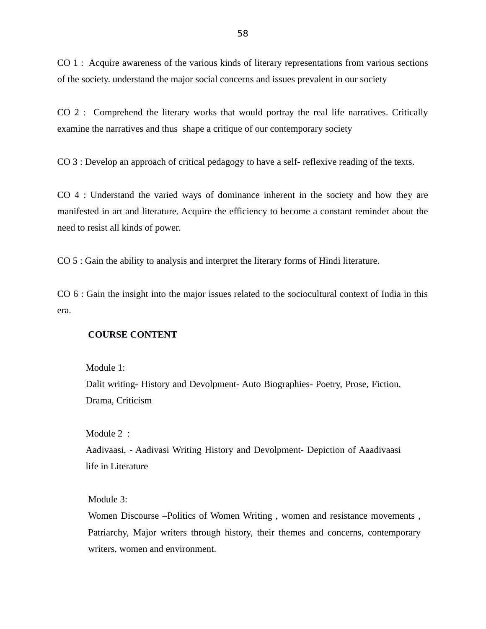CO 1 : Acquire awareness of the various kinds of literary representations from various sections of the society. understand the major social concerns and issues prevalent in our society

CO 2 : Comprehend the literary works that would portray the real life narratives. Critically examine the narratives and thus shape a critique of our contemporary society

CO 3 : Develop an approach of critical pedagogy to have a self- reflexive reading of the texts.

CO 4 : Understand the varied ways of dominance inherent in the society and how they are manifested in art and literature. Acquire the efficiency to become a constant reminder about the need to resist all kinds of power.

CO 5 : Gain the ability to analysis and interpret the literary forms of Hindi literature.

CO 6 : Gain the insight into the major issues related to the sociocultural context of India in this era.

#### **COURSE CONTENT**

Module 1:

Dalit writing- History and Devolpment- Auto Biographies- Poetry, Prose, Fiction, Drama, Criticism

Module 2 :

Aadivaasi, - Aadivasi Writing History and Devolpment- Depiction of Aaadivaasi life in Literature

Module 3:

Women Discourse –Politics of Women Writing , women and resistance movements , Patriarchy, Major writers through history, their themes and concerns, contemporary writers, women and environment.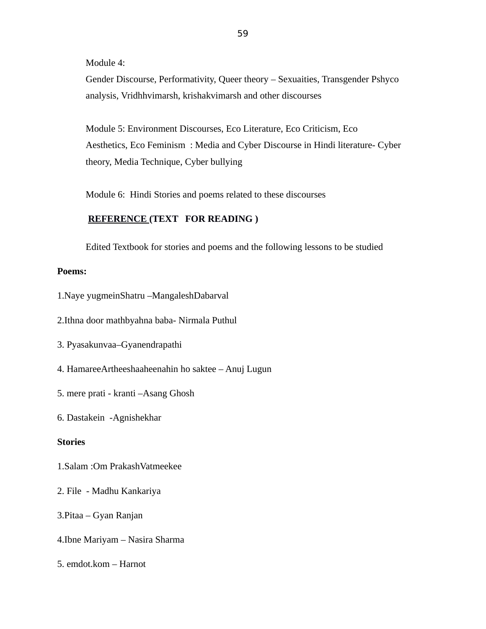Module 4:

Gender Discourse, Performativity, Queer theory – Sexuaities, Transgender Pshyco analysis, Vridhhvimarsh, krishakvimarsh and other discourses

Module 5: Environment Discourses, Eco Literature, Eco Criticism, Eco Aesthetics, Eco Feminism : Media and Cyber Discourse in Hindi literature- Cyber theory, Media Technique, Cyber bullying

Module 6: Hindi Stories and poems related to these discourses

## **REFERENCE (TEXT FOR READING )**

Edited Textbook for stories and poems and the following lessons to be studied

#### **Poems:**

1.Naye yugmeinShatru –MangaleshDabarval

2.Ithna door mathbyahna baba- Nirmala Puthul

3. Pyasakunvaa–Gyanendrapathi

4. HamareeArtheeshaaheenahin ho saktee – Anuj Lugun

5. mere prati - kranti –Asang Ghosh

6. Dastakein -Agnishekhar

#### **Stories**

1.Salam :Om PrakashVatmeekee

2. File - Madhu Kankariya

3.Pitaa – Gyan Ranjan

4.Ibne Mariyam – Nasira Sharma

5. emdot.kom – Harnot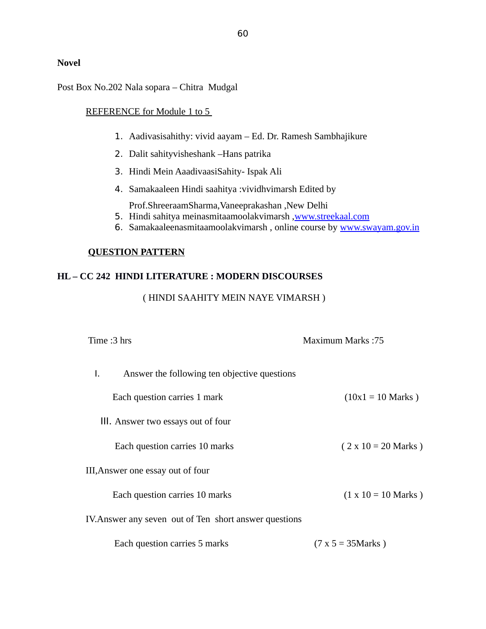Post Box No.202 Nala sopara – Chitra Mudgal

#### REFERENCE for Module 1 to 5

- 1. Aadivasisahithy: vivid aayam Ed. Dr. Ramesh Sambhajikure
- 2. Dalit sahityvisheshank –Hans patrika
- 3. Hindi Mein AaadivaasiSahity- Ispak Ali
- 4. Samakaaleen Hindi saahitya :vividhvimarsh Edited by

Prof.ShreeraamSharma,Vaneeprakashan ,New Delhi

- 5. Hindi sahitya meinasmitaamoolakvimarsh, www.streekaal.com
- 6. Samakaaleenasmitaamoolakvimarsh, online course by [www.swayam.gov.in](http://www.swayam.gov.in/)

#### **QUESTION PATTERN**

# **HL – CC 242 HINDI LITERATURE : MODERN DISCOURSES**

( HINDI SAAHITY MEIN NAYE VIMARSH )

| Time :3 hrs                                            | Maximum Marks: 75          |
|--------------------------------------------------------|----------------------------|
| L.<br>Answer the following ten objective questions     |                            |
| Each question carries 1 mark                           | $(10x1 = 10$ Marks)        |
| III. Answer two essays out of four                     |                            |
| Each question carries 10 marks                         | $(2 \times 10 = 20$ Marks) |
| III, Answer one essay out of four                      |                            |
| Each question carries 10 marks                         | $(1 \times 10 = 10$ Marks) |
| IV. Answer any seven out of Ten short answer questions |                            |
| Each question carries 5 marks                          | $(7 x 5 = 35 Marks)$       |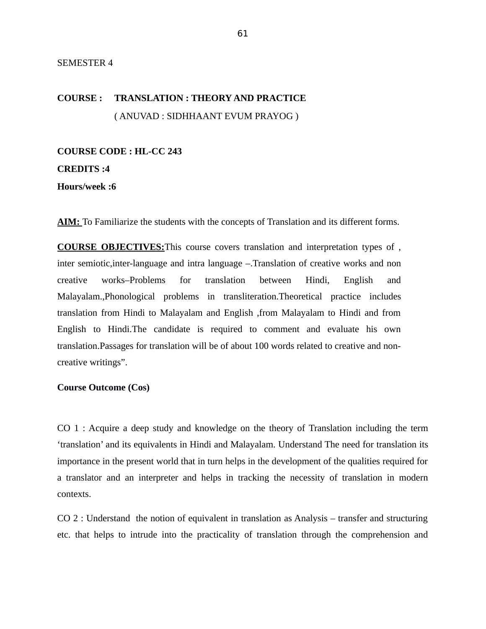#### SEMESTER 4

# **COURSE : TRANSLATION : THEORY AND PRACTICE** ( ANUVAD : SIDHHAANT EVUM PRAYOG )

# **COURSE CODE : HL-CC 243**

# **CREDITS :4**

**Hours/week :6**

**AIM:** To Familiarize the students with the concepts of Translation and its different forms.

**COURSE OBJECTIVES:**This course covers translation and interpretation types of , inter semiotic,inter-language and intra language –.Translation of creative works and non creative works–Problems for translation between Hindi, English and Malayalam.,Phonological problems in transliteration.Theoretical practice includes translation from Hindi to Malayalam and English ,from Malayalam to Hindi and from English to Hindi.The candidate is required to comment and evaluate his own translation.Passages for translation will be of about 100 words related to creative and noncreative writings".

#### **Course Outcome (Cos)**

CO 1 : Acquire a deep study and knowledge on the theory of Translation including the term 'translation' and its equivalents in Hindi and Malayalam. Understand The need for translation its importance in the present world that in turn helps in the development of the qualities required for a translator and an interpreter and helps in tracking the necessity of translation in modern contexts.

CO 2 : Understand the notion of equivalent in translation as Analysis – transfer and structuring etc. that helps to intrude into the practicality of translation through the comprehension and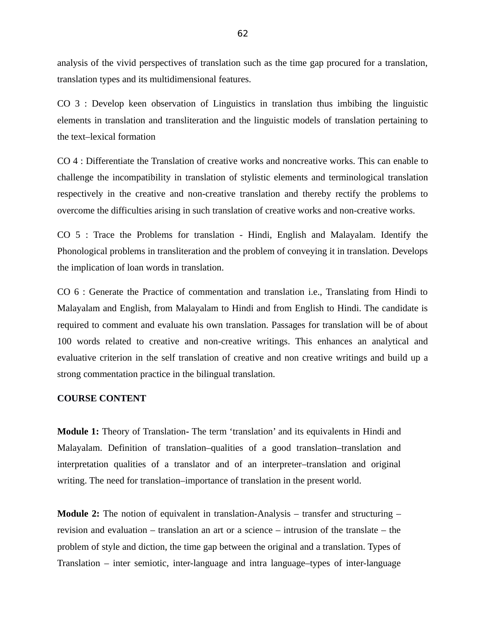analysis of the vivid perspectives of translation such as the time gap procured for a translation, translation types and its multidimensional features.

CO 3 : Develop keen observation of Linguistics in translation thus imbibing the linguistic elements in translation and transliteration and the linguistic models of translation pertaining to the text–lexical formation

CO 4 : Differentiate the Translation of creative works and noncreative works. This can enable to challenge the incompatibility in translation of stylistic elements and terminological translation respectively in the creative and non-creative translation and thereby rectify the problems to overcome the difficulties arising in such translation of creative works and non-creative works.

CO 5 : Trace the Problems for translation - Hindi, English and Malayalam. Identify the Phonological problems in transliteration and the problem of conveying it in translation. Develops the implication of loan words in translation.

CO 6 : Generate the Practice of commentation and translation i.e., Translating from Hindi to Malayalam and English, from Malayalam to Hindi and from English to Hindi. The candidate is required to comment and evaluate his own translation. Passages for translation will be of about 100 words related to creative and non-creative writings. This enhances an analytical and evaluative criterion in the self translation of creative and non creative writings and build up a strong commentation practice in the bilingual translation.

#### **COURSE CONTENT**

**Module 1:** Theory of Translation**-** The term 'translation' and its equivalents in Hindi and Malayalam. Definition of translation–qualities of a good translation–translation and interpretation qualities of a translator and of an interpreter–translation and original writing. The need for translation–importance of translation in the present world.

**Module 2:** The notion of equivalent in translation-Analysis – transfer and structuring – revision and evaluation – translation an art or a science – intrusion of the translate – the problem of style and diction, the time gap between the original and a translation. Types of Translation – inter semiotic, inter-language and intra language–types of inter-language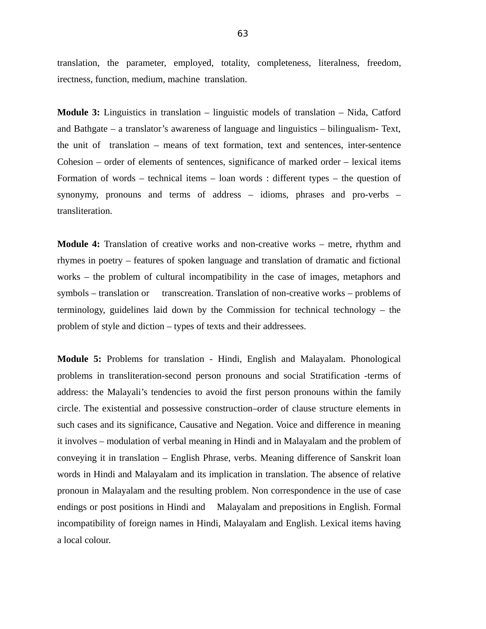translation, the parameter, employed, totality, completeness, literalness, freedom, irectness, function, medium, machine translation.

**Module 3:** Linguistics in translation – linguistic models of translation – Nida, Catford and Bathgate – a translator's awareness of language and linguistics – bilingualism- Text, the unit of translation – means of text formation, text and sentences, inter-sentence Cohesion – order of elements of sentences, significance of marked order – lexical items Formation of words – technical items – loan words : different types – the question of synonymy, pronouns and terms of address – idioms, phrases and pro-verbs – transliteration.

**Module 4:** Translation of creative works and non-creative works – metre, rhythm and rhymes in poetry – features of spoken language and translation of dramatic and fictional works – the problem of cultural incompatibility in the case of images, metaphors and symbols – translation or transcreation. Translation of non-creative works – problems of terminology, guidelines laid down by the Commission for technical technology – the problem of style and diction – types of texts and their addressees.

**Module 5:** Problems for translation - Hindi, English and Malayalam. Phonological problems in transliteration-second person pronouns and social Stratification -terms of address: the Malayali's tendencies to avoid the first person pronouns within the family circle. The existential and possessive construction–order of clause structure elements in such cases and its significance, Causative and Negation. Voice and difference in meaning it involves – modulation of verbal meaning in Hindi and in Malayalam and the problem of conveying it in translation – English Phrase, verbs. Meaning difference of Sanskrit loan words in Hindi and Malayalam and its implication in translation. The absence of relative pronoun in Malayalam and the resulting problem. Non correspondence in the use of case endings or post positions in Hindi and Malayalam and prepositions in English. Formal incompatibility of foreign names in Hindi, Malayalam and English. Lexical items having a local colour.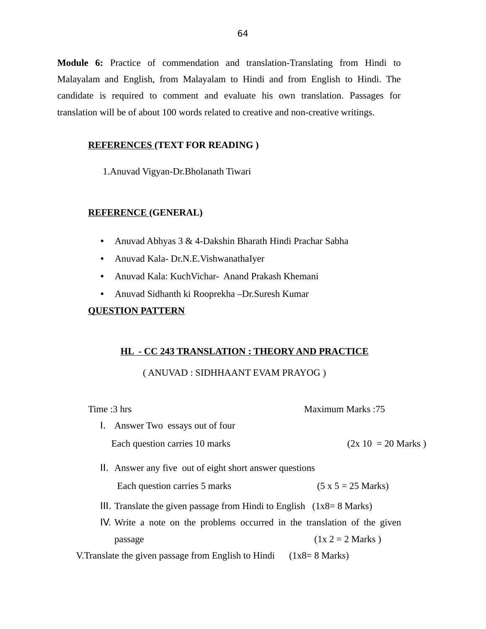**Module 6:** Practice of commendation and translation-Translating from Hindi to Malayalam and English, from Malayalam to Hindi and from English to Hindi. The candidate is required to comment and evaluate his own translation. Passages for translation will be of about 100 words related to creative and non-creative writings.

#### **REFERENCES (TEXT FOR READING )**

1.Anuvad Vigyan-Dr.Bholanath Tiwari

#### **REFERENCE (GENERAL)**

- Anuvad Abhyas 3 & 4-Dakshin Bharath Hindi Prachar Sabha
- Anuvad Kala- Dr.N.E.VishwanathaIyer
- Anuvad Kala: KuchVichar- Anand Prakash Khemani
- Anuvad Sidhanth ki Rooprekha –Dr.Suresh Kumar

## **QUESTION PATTERN**

## **HL - CC 243 TRANSLATION : THEORY AND PRACTICE**

## ( ANUVAD : SIDHHAANT EVAM PRAYOG )

| Time :3 hrs                                                                    | <b>Maximum Marks:75</b> |
|--------------------------------------------------------------------------------|-------------------------|
| Answer Two essays out of four<br>Ι.                                            |                         |
| Each question carries 10 marks                                                 | $(2x 10 = 20$ Marks)    |
| II. Answer any five out of eight short answer questions                        |                         |
| Each question carries 5 marks                                                  | $(5 x 5 = 25 Marks)$    |
| III. Translate the given passage from Hindi to English $(1x8=8 \text{ Marks})$ |                         |
| IV. Write a note on the problems occurred in the translation of the given      |                         |
| passage                                                                        | $(1x 2 = 2 Marks)$      |
| V. Translate the given passage from English to Hindi                           | $(1x8=8 \text{ Marks})$ |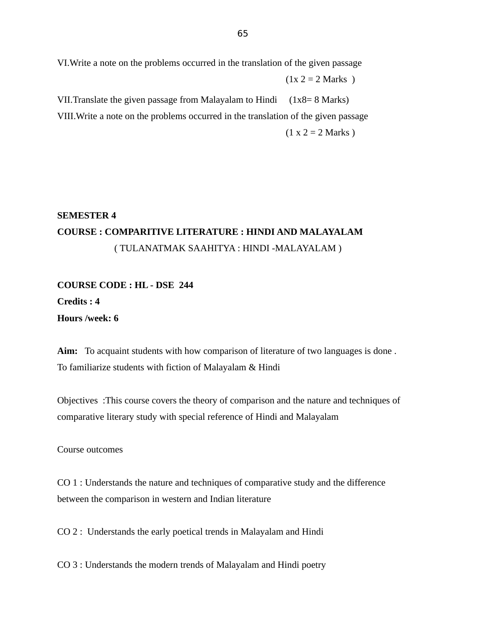VI.Write a note on the problems occurred in the translation of the given passage

 $(1x 2 = 2 Marks)$ 

VII. Translate the given passage from Malayalam to Hindi  $(1x8=8 \text{ Marks})$ VIII.Write a note on the problems occurred in the translation of the given passage  $(1 x 2 = 2 Marks)$ 

# **SEMESTER 4 COURSE : COMPARITIVE LITERATURE : HINDI AND MALAYALAM** ( TULANATMAK SAAHITYA : HINDI -MALAYALAM )

**COURSE CODE : HL - DSE 244 Credits : 4 Hours /week: 6**

**Aim:** To acquaint students with how comparison of literature of two languages is done . To familiarize students with fiction of Malayalam & Hindi

Objectives :This course covers the theory of comparison and the nature and techniques of comparative literary study with special reference of Hindi and Malayalam

Course outcomes

CO 1 : Understands the nature and techniques of comparative study and the difference between the comparison in western and Indian literature

CO 2 : Understands the early poetical trends in Malayalam and Hindi

CO 3 : Understands the modern trends of Malayalam and Hindi poetry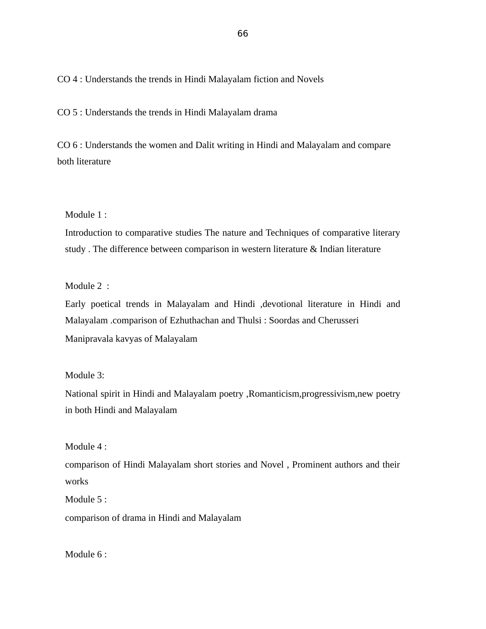CO 4 : Understands the trends in Hindi Malayalam fiction and Novels

CO 5 : Understands the trends in Hindi Malayalam drama

CO 6 : Understands the women and Dalit writing in Hindi and Malayalam and compare both literature

Module 1 :

Introduction to comparative studies The nature and Techniques of comparative literary study . The difference between comparison in western literature & Indian literature

Module 2 :

Early poetical trends in Malayalam and Hindi ,devotional literature in Hindi and Malayalam .comparison of Ezhuthachan and Thulsi : Soordas and Cherusseri Manipravala kavyas of Malayalam

#### Module 3:

National spirit in Hindi and Malayalam poetry ,Romanticism,progressivism,new poetry in both Hindi and Malayalam

Module 4 :

comparison of Hindi Malayalam short stories and Novel , Prominent authors and their works

Module 5 :

comparison of drama in Hindi and Malayalam

Module 6 :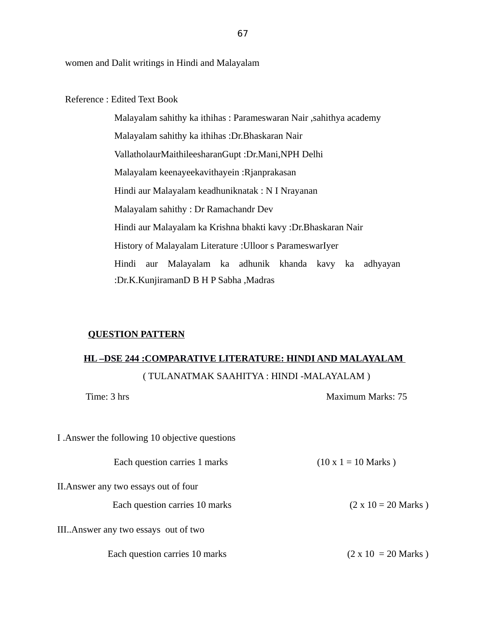women and Dalit writings in Hindi and Malayalam

Reference : Edited Text Book

Malayalam sahithy ka ithihas : Parameswaran Nair ,sahithya academy Malayalam sahithy ka ithihas :Dr.Bhaskaran Nair VallatholaurMaithileesharanGupt :Dr.Mani,NPH Delhi Malayalam keenayeekavithayein :Rjanprakasan Hindi aur Malayalam keadhuniknatak : N I Nrayanan Malayalam sahithy : Dr Ramachandr Dev Hindi aur Malayalam ka Krishna bhakti kavy :Dr.Bhaskaran Nair History of Malayalam Literature :Ulloor s ParameswarIyer Hindi aur Malayalam ka adhunik khanda kavy ka adhyayan :Dr.K.KunjiramanD B H P Sabha ,Madras

#### **QUESTION PATTERN**

# **HL –DSE 244 :COMPARATIVE LITERATURE: HINDI AND MALAYALAM**  ( TULANATMAK SAAHITYA : HINDI -MALAYALAM )

| Time: 3 hrs                                     | Maximum Marks: 75          |
|-------------------------------------------------|----------------------------|
| I . Answer the following 10 objective questions |                            |
| Each question carries 1 marks                   | $(10 \times 1 = 10$ Marks) |
| II. Answer any two essays out of four           |                            |
| Each question carries 10 marks                  | $(2 \times 10 = 20$ Marks) |
| III Answer any two essays out of two            |                            |
| Each question carries 10 marks                  | $(2 \times 10 = 20$ Marks) |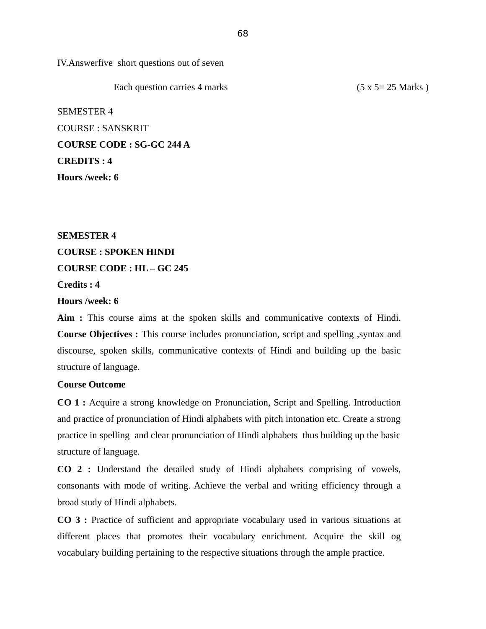IV.Answerfive short questions out of seven

Each question carries 4 marks (5 x 5 = 25 Marks)

SEMESTER 4 COURSE : SANSKRIT **COURSE CODE : SG-GC 244 A CREDITS : 4 Hours /week: 6** 

**SEMESTER 4 COURSE : SPOKEN HINDI COURSE CODE : HL – GC 245 Credits : 4**

**Hours /week: 6**

**Aim :** This course aims at the spoken skills and communicative contexts of Hindi. **Course Objectives :** This course includes pronunciation, script and spelling ,syntax and discourse, spoken skills, communicative contexts of Hindi and building up the basic structure of language.

## **Course Outcome**

**CO 1 :** Acquire a strong knowledge on Pronunciation, Script and Spelling. Introduction and practice of pronunciation of Hindi alphabets with pitch intonation etc. Create a strong practice in spelling and clear pronunciation of Hindi alphabets thus building up the basic structure of language.

**CO 2 :** Understand the detailed study of Hindi alphabets comprising of vowels, consonants with mode of writing. Achieve the verbal and writing efficiency through a broad study of Hindi alphabets.

**CO 3 :** Practice of sufficient and appropriate vocabulary used in various situations at different places that promotes their vocabulary enrichment. Acquire the skill og vocabulary building pertaining to the respective situations through the ample practice.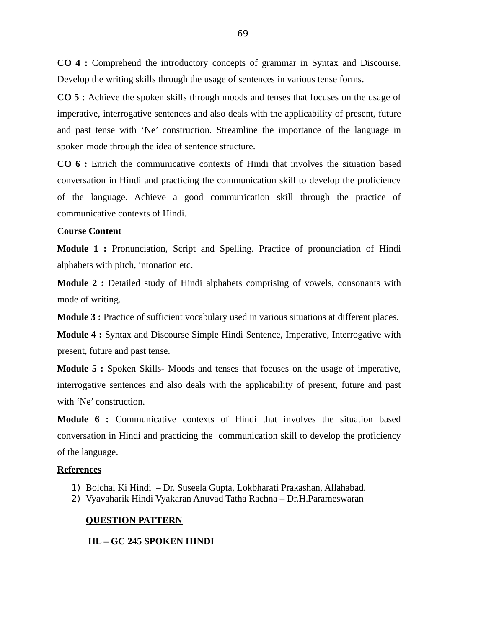**CO 4 :** Comprehend the introductory concepts of grammar in Syntax and Discourse. Develop the writing skills through the usage of sentences in various tense forms.

**CO 5 :** Achieve the spoken skills through moods and tenses that focuses on the usage of imperative, interrogative sentences and also deals with the applicability of present, future and past tense with 'Ne' construction. Streamline the importance of the language in spoken mode through the idea of sentence structure.

**CO 6 :** Enrich the communicative contexts of Hindi that involves the situation based conversation in Hindi and practicing the communication skill to develop the proficiency of the language. Achieve a good communication skill through the practice of communicative contexts of Hindi.

#### **Course Content**

**Module 1 :** Pronunciation, Script and Spelling. Practice of pronunciation of Hindi alphabets with pitch, intonation etc.

**Module 2 :** Detailed study of Hindi alphabets comprising of vowels, consonants with mode of writing.

**Module 3 :** Practice of sufficient vocabulary used in various situations at different places.

**Module 4 :** Syntax and Discourse Simple Hindi Sentence, Imperative, Interrogative with present, future and past tense.

**Module 5 :** Spoken Skills- Moods and tenses that focuses on the usage of imperative, interrogative sentences and also deals with the applicability of present, future and past with 'Ne' construction.

**Module 6 :** Communicative contexts of Hindi that involves the situation based conversation in Hindi and practicing the communication skill to develop the proficiency of the language.

#### **References**

- 1) Bolchal Ki Hindi Dr. Suseela Gupta, Lokbharati Prakashan, Allahabad.
- 2) Vyavaharik Hindi Vyakaran Anuvad Tatha Rachna Dr.H.Parameswaran

#### **QUESTION PATTERN**

 **HL – GC 245 SPOKEN HINDI**